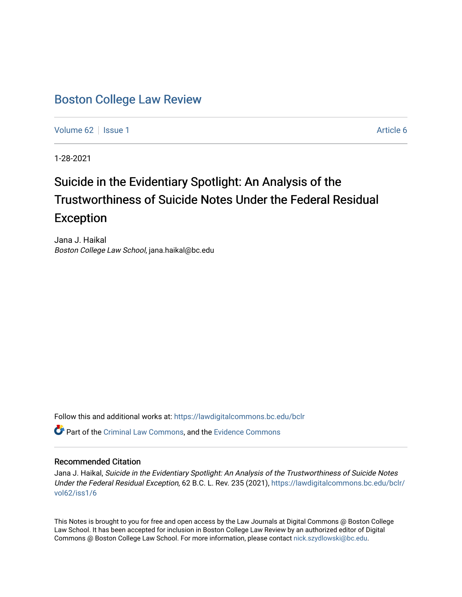## [Boston College Law Review](https://lawdigitalcommons.bc.edu/bclr)

[Volume 62](https://lawdigitalcommons.bc.edu/bclr/vol62) | [Issue 1](https://lawdigitalcommons.bc.edu/bclr/vol62/iss1) Article 6

1-28-2021

# Suicide in the Evidentiary Spotlight: An Analysis of the Trustworthiness of Suicide Notes Under the Federal Residual Exception

Jana J. Haikal Boston College Law School, jana.haikal@bc.edu

Follow this and additional works at: [https://lawdigitalcommons.bc.edu/bclr](https://lawdigitalcommons.bc.edu/bclr?utm_source=lawdigitalcommons.bc.edu%2Fbclr%2Fvol62%2Fiss1%2F6&utm_medium=PDF&utm_campaign=PDFCoverPages) 

Part of the [Criminal Law Commons,](http://network.bepress.com/hgg/discipline/912?utm_source=lawdigitalcommons.bc.edu%2Fbclr%2Fvol62%2Fiss1%2F6&utm_medium=PDF&utm_campaign=PDFCoverPages) and the [Evidence Commons](http://network.bepress.com/hgg/discipline/601?utm_source=lawdigitalcommons.bc.edu%2Fbclr%2Fvol62%2Fiss1%2F6&utm_medium=PDF&utm_campaign=PDFCoverPages) 

## Recommended Citation

Jana J. Haikal, Suicide in the Evidentiary Spotlight: An Analysis of the Trustworthiness of Suicide Notes Under the Federal Residual Exception, 62 B.C. L. Rev. 235 (2021), [https://lawdigitalcommons.bc.edu/bclr/](https://lawdigitalcommons.bc.edu/bclr/vol62/iss1/6?utm_source=lawdigitalcommons.bc.edu%2Fbclr%2Fvol62%2Fiss1%2F6&utm_medium=PDF&utm_campaign=PDFCoverPages) [vol62/iss1/6](https://lawdigitalcommons.bc.edu/bclr/vol62/iss1/6?utm_source=lawdigitalcommons.bc.edu%2Fbclr%2Fvol62%2Fiss1%2F6&utm_medium=PDF&utm_campaign=PDFCoverPages)

This Notes is brought to you for free and open access by the Law Journals at Digital Commons @ Boston College Law School. It has been accepted for inclusion in Boston College Law Review by an authorized editor of Digital Commons @ Boston College Law School. For more information, please contact [nick.szydlowski@bc.edu.](mailto:nick.szydlowski@bc.edu)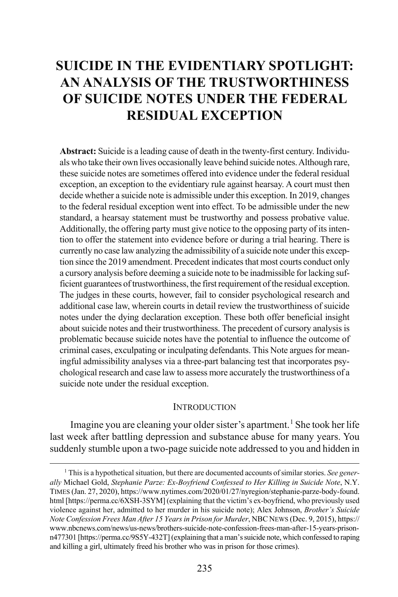## **SUICIDE IN THE EVIDENTIARY SPOTLIGHT: AN ANALYSIS OF THE TRUSTWORTHINESS OF SUICIDE NOTES UNDER THE FEDERAL RESIDUAL EXCEPTION**

**Abstract:** Suicide is a leading cause of death in the twenty-first century. Individuals who take their own lives occasionally leave behind suicide notes. Although rare, these suicide notes are sometimes offered into evidence under the federal residual exception, an exception to the evidentiary rule against hearsay. A court must then decide whether a suicide note is admissible under this exception. In 2019, changes to the federal residual exception went into effect. To be admissible under the new standard, a hearsay statement must be trustworthy and possess probative value. Additionally, the offering party must give notice to the opposing party of its intention to offer the statement into evidence before or during a trial hearing. There is currently no case law analyzing the admissibility of a suicide note under this exception since the 2019 amendment. Precedent indicates that most courts conduct only a cursory analysis before deeming a suicide note to be inadmissible for lacking sufficient guarantees of trustworthiness, the first requirement of the residual exception. The judges in these courts, however, fail to consider psychological research and additional case law, wherein courts in detail review the trustworthiness of suicide notes under the dying declaration exception. These both offer beneficial insight about suicide notes and their trustworthiness. The precedent of cursory analysis is problematic because suicide notes have the potential to influence the outcome of criminal cases, exculpating or inculpating defendants. This Note argues for meaningful admissibility analyses via a three-part balancing test that incorporates psychological research and case law to assess more accurately the trustworthiness of a suicide note under the residual exception.

#### <span id="page-1-1"></span>**INTRODUCTION**

Imagine you are cleaning your older sister's apartment.<sup>[1](#page-1-0)</sup> She took her life last week after battling depression and substance abuse for many years. You suddenly stumble upon a two-page suicide note addressed to you and hidden in

<span id="page-1-0"></span> <sup>1</sup> This is a hypothetical situation, but there are documented accounts of similar stories. *See generally* Michael Gold, *Stephanie Parze: Ex-Boyfriend Confessed to Her Killing in Suicide Note*, N.Y. TIMES (Jan. 27, 2020), https://www.nytimes.com/2020/01/27/nyregion/stephanie-parze-body-found. html [https://perma.cc/6XSH-3SYM] (explaining that the victim's ex-boyfriend, who previously used violence against her, admitted to her murder in his suicide note); Alex Johnson, *Brother's Suicide Note Confession Frees Man After 15 Years in Prison for Murder*, NBC NEWS (Dec. 9, 2015), https:// www.nbcnews.com/news/us-news/brothers-suicide-note-confession-frees-man-after-15-years-prisonn477301 [https://perma.cc/9S5Y-432T] (explaining that a man's suicide note, which confessed to raping and killing a girl, ultimately freed his brother who was in prison for those crimes).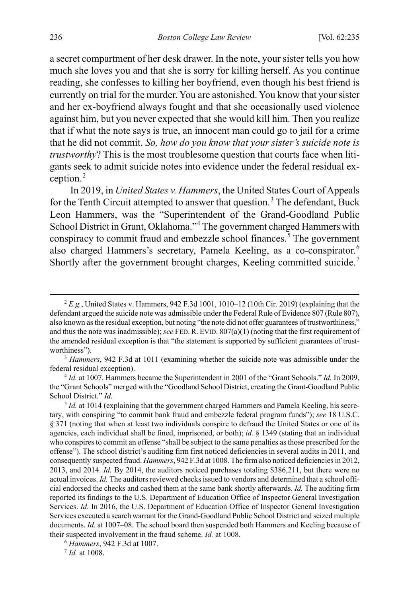a secret compartment of her desk drawer. In the note, your sister tells you how much she loves you and that she is sorry for killing herself. As you continue reading, she confesses to killing her boyfriend, even though his best friend is currently on trial for the murder. You are astonished. You know that your sister and her ex-boyfriend always fought and that she occasionally used violence against him, but you never expected that she would kill him. Then you realize that if what the note says is true, an innocent man could go to jail for a crime that he did not commit. *So, how do you know that your sister's suicide note is trustworthy*? This is the most troublesome question that courts face when litigants seek to admit suicide notes into evidence under the federal residual exception.[2](#page-2-0)

In 2019, in *United States v. Hammers*, the United States Court of Appeals for the Tenth Circuit attempted to answer that question.<sup>[3](#page-2-1)</sup> The defendant, Buck Leon Hammers, was the "Superintendent of the Grand-Goodland Public School District in Grant, Oklahoma."<sup>[4](#page-2-2)</sup> The government charged Hammers with conspiracy to commit fraud and embezzle school finances.<sup>[5](#page-2-3)</sup> The government also charged Hammers's secretary, Pamela Keeling, as a co-conspirator.<sup>[6](#page-2-4)</sup> Shortly after the government brought charges, Keeling committed suicide.<sup>[7](#page-2-5)</sup>

<span id="page-2-1"></span><sup>3</sup> *Hammers*, 942 F.3d at 1011 (examining whether the suicide note was admissible under the federal residual exception).

<span id="page-2-2"></span><sup>4</sup> *Id.* at 1007. Hammers became the Superintendent in 2001 of the "Grant Schools." *Id.* In 2009, the "Grant Schools" merged with the "Goodland School District, creating the Grant-Goodland Public School District." *Id.*

<span id="page-2-3"></span><sup>5</sup> *Id.* at 1014 (explaining that the government charged Hammers and Pamela Keeling, his secretary, with conspiring "to commit bank fraud and embezzle federal program funds"); *see* 18 U.S.C. § 371 (noting that when at least two individuals conspire to defraud the United States or one of its agencies, each individual shall be fined, imprisoned, or both); *id.* § 1349 (stating that an individual who conspires to commit an offense "shall be subject to the same penalties as those prescribed for the offense"). The school district's auditing firm first noticed deficiencies in several audits in 2011, and consequently suspected fraud. *Hammers*, 942 F.3d at 1008. The firm also noticed deficiencies in 2012, 2013, and 2014. *Id.* By 2014, the auditors noticed purchases totaling \$386,211, but there were no actual invoices. *Id.* The auditors reviewed checks issued to vendors and determined that a school official endorsed the checks and cashed them at the same bank shortly afterwards. *Id.* The auditing firm reported its findings to the U.S. Department of Education Office of Inspector General Investigation Services. *Id.* In 2016, the U.S. Department of Education Office of Inspector General Investigation Services executed a search warrant for the Grand-Goodland Public School District and seized multiple documents. *Id.* at 1007–08. The school board then suspended both Hammers and Keeling because of their suspected involvement in the fraud scheme. *Id.* at 1008.

<span id="page-2-4"></span><sup>6</sup> *Hammers*, 942 F.3d at 1007.

<span id="page-2-5"></span><sup>7</sup> *Id.* at 1008.

<span id="page-2-0"></span> <sup>2</sup> *E.g.*, United States v. Hammers, 942 F.3d 1001, 1010–12 (10th Cir. 2019) (explaining that the defendant argued the suicide note was admissible under the Federal Rule of Evidence 807 (Rule 807), also known as the residual exception, but noting "the note did not offer guarantees of trustworthiness," and thus the note was inadmissible); *see* FED. R. EVID. 807(a)(1) (noting that the first requirement of the amended residual exception is that "the statement is supported by sufficient guarantees of trustworthiness").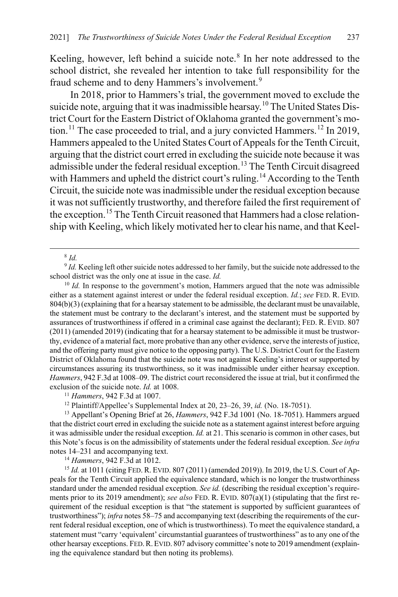Keeling, however, left behind a suicide note. $8$  In her note addressed to the school district, she revealed her intention to take full responsibility for the fraud scheme and to deny Hammers's involvement.<sup>[9](#page-3-2)</sup>

In 2018, prior to Hammers's trial, the government moved to exclude the suicide note, arguing that it was inadmissible hearsay.<sup>[10](#page-3-3)</sup> The United States District Court for the Eastern District of Oklahoma granted the government's mo-tion.<sup>[11](#page-3-4)</sup> The case proceeded to trial, and a jury convicted Hammers.<sup>[12](#page-3-5)</sup> In 2019, Hammers appealed to the United States Court of Appeals for the Tenth Circuit, arguing that the district court erred in excluding the suicide note because it was admissible under the federal residual exception.<sup>[13](#page-3-6)</sup> The Tenth Circuit disagreed with Hammers and upheld the district court's ruling.<sup>[14](#page-3-7)</sup> According to the Tenth Circuit, the suicide note was inadmissible under the residual exception because it was not sufficiently trustworthy, and therefore failed the first requirement of the exception.[15](#page-3-8) The Tenth Circuit reasoned that Hammers had a close relationship with Keeling, which likely motivated her to clear his name, and that Keel-

<span id="page-3-0"></span>8 *Id.*

<span id="page-3-2"></span><span id="page-3-1"></span><sup>9</sup> *Id.* Keeling left other suicide notes addressed to her family, but the suicide note addressed to the school district was the only one at issue in the case. *Id.*

<span id="page-3-3"></span><sup>10</sup> *Id.* In response to the government's motion, Hammers argued that the note was admissible either as a statement against interest or under the federal residual exception. *Id.*; *see* FED. R. EVID. 804(b)(3) (explaining that for a hearsay statement to be admissible, the declarant must be unavailable, the statement must be contrary to the declarant's interest, and the statement must be supported by assurances of trustworthiness if offered in a criminal case against the declarant); FED. R. EVID. 807 (2011) (amended 2019) (indicating that for a hearsay statement to be admissible it must be trustworthy, evidence of a material fact, more probative than any other evidence, serve the interests of justice, and the offering party must give notice to the opposing party). The U.S. District Court for the Eastern District of Oklahoma found that the suicide note was not against Keeling's interest or supported by circumstances assuring its trustworthiness, so it was inadmissible under either hearsay exception. *Hammers*, 942 F.3d at 1008–09. The district court reconsidered the issue at trial, but it confirmed the exclusion of the suicide note. *Id.* at 1008.

<sup>11</sup> *Hammers*, 942 F.3d at 1007.

<sup>12</sup> Plaintiff/Appellee's Supplemental Index at 20, 23–26, 39, *id.* (No. 18-7051). 13 Appellant's Opening Brief at 26, *Hammers*, 942 F.3d 1001 (No. 18-7051). Hammers argued

<span id="page-3-6"></span><span id="page-3-5"></span><span id="page-3-4"></span>that the district court erred in excluding the suicide note as a statement against interest before arguing it was admissible under the residual exception. *Id.* at 21. This scenario is common in other cases, but this Note's focus is on the admissibility of statements under the federal residual exception. *See infra* notes [14–](#page-3-0)[231](#page-38-0) and accompanying text.

<sup>14</sup> *Hammers*, 942 F.3d at 1012.

<span id="page-3-8"></span><span id="page-3-7"></span><sup>15</sup> *Id.* at 1011 (citing FED. R. EVID. 807 (2011) (amended 2019)). In 2019, the U.S. Court of Appeals for the Tenth Circuit applied the equivalence standard, which is no longer the trustworthiness standard under the amended residual exception. *See id.* (describing the residual exception's requirements prior to its 2019 amendment); *see also* FED. R. EVID. 807(a)(1) (stipulating that the first requirement of the residual exception is that "the statement is supported by sufficient guarantees of trustworthiness"); *infra* note[s 58](#page-11-0)[–75](#page-14-0) and accompanying text (describing the requirements of the current federal residual exception, one of which is trustworthiness). To meet the equivalence standard, a statement must "carry 'equivalent' circumstantial guarantees of trustworthiness" as to any one of the other hearsay exceptions. FED.R.EVID. 807 advisory committee's note to 2019 amendment (explaining the equivalence standard but then noting its problems).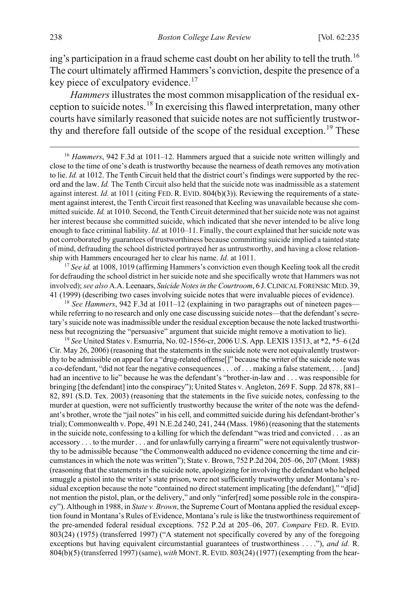ing's participation in a fraud scheme cast doubt on her ability to tell the truth.<sup>[16](#page-4-0)</sup> The court ultimately affirmed Hammers's conviction, despite the presence of a key piece of exculpatory evidence.<sup>[17](#page-4-1)</sup>

<span id="page-4-4"></span>*Hammers* illustrates the most common misapplication of the residual ex-ception to suicide notes.<sup>[18](#page-4-2)</sup> In exercising this flawed interpretation, many other courts have similarly reasoned that suicide notes are not sufficiently trustwor-thy and therefore fall outside of the scope of the residual exception.<sup>[19](#page-4-3)</sup> These

<span id="page-4-0"></span><sup>16</sup> *Hammers*, 942 F.3d at 1011–12. Hammers argued that a suicide note written willingly and close to the time of one's death is trustworthy because the nearness of death removes any motivation to lie. *Id.* at 1012. The Tenth Circuit held that the district court's findings were supported by the record and the law. *Id.* The Tenth Circuit also held that the suicide note was inadmissible as a statement against interest. *Id.* at 1011 (citing FED. R. EVID. 804(b)(3)). Reviewing the requirements of a statement against interest, the Tenth Circuit first reasoned that Keeling was unavailable because she committed suicide. *Id.* at 1010. Second, the Tenth Circuit determined that her suicide note was not against her interest because she committed suicide, which indicated that she never intended to be alive long enough to face criminal liability. *Id.* at 1010–11. Finally, the court explained that her suicide note was not corroborated by guarantees of trustworthiness because committing suicide implied a tainted state of mind, defrauding the school districted portrayed her as untrustworthy, and having a close relationship with Hammers encouraged her to clear his name. *Id.* at 1011.

<span id="page-4-1"></span><sup>17</sup> See id. at 1008, 1019 (affirming Hammers's conviction even though Keeling took all the credit for defrauding the school district in her suicide note and she specifically wrote that Hammers was not involved); *see also* A.A. Leenaars, *Suicide Notes in the Courtroom*, 6 J.CLINICAL FORENSIC MED. 39, 41 (1999) (describing two cases involving suicide notes that were invaluable pieces of evidence).

<span id="page-4-2"></span><sup>18</sup> See Hammers, 942 F.3d at 1011–12 (explaining in two paragraphs out of nineteen pages while referring to no research and only one case discussing suicide notes—that the defendant's secretary's suicide note was inadmissible under the residual exception because the note lacked trustworthiness but recognizing the "persuasive" argument that suicide might remove a motivation to lie).

<span id="page-4-3"></span><sup>19</sup> *See* United States v. Esmurria, No. 02-1556-cr, 2006 U.S. App. LEXIS 13513, at \*2, \*5–6 (2d Cir. May 26, 2006) (reasoning that the statements in the suicide note were not equivalently trustworthy to be admissible on appeal for a "drug-related offense[]" because the writer of the suicide note was a co-defendant, "did not fear the negative consequences . . . of . . . making a false statement, . . . [and] had an incentive to lie" because he was the defendant's "brother-in-law and . . . was responsible for bringing [the defendant] into the conspiracy"); United States v. Angleton, 269 F. Supp. 2d 878, 881– 82, 891 (S.D. Tex. 2003) (reasoning that the statements in the five suicide notes, confessing to the murder at question, were not sufficiently trustworthy because the writer of the note was the defendant's brother, wrote the "jail notes" in his cell, and committed suicide during his defendant-brother's trial); Commonwealth v. Pope, 491 N.E.2d 240, 241, 244 (Mass. 1986) (reasoning that the statements in the suicide note, confessing to a killing for which the defendant "was tried and convicted . . . as an accessory . . . to the murder . . . and for unlawfully carrying a firearm" were not equivalently trustworthy to be admissible because "the Commonwealth adduced no evidence concerning the time and circumstances in which the note was written"); State v. Brown, 752 P.2d 204, 205–06, 207 (Mont. 1988) (reasoning that the statements in the suicide note, apologizing for involving the defendant who helped smuggle a pistol into the writer's state prison, were not sufficiently trustworthy under Montana's residual exception because the note "contained no direct statement implicating [the defendant]," "d[id] not mention the pistol, plan, or the delivery," and only "infer[red] some possible role in the conspiracy"). Although in 1988, in *State v. Brown*, the Supreme Court of Montana applied the residual exception found in Montana's Rules of Evidence, Montana's rule is like the trustworthiness requirement of the pre-amended federal residual exceptions. 752 P.2d at 205–06, 207. *Compare* FED. R. EVID. 803(24) (1975) (transferred 1997) ("A statement not specifically covered by any of the foregoing exceptions but having equivalent circumstantial guarantees of trustworthiness . . . ."), *and id.* R. 804(b)(5) (transferred 1997) (same), *with* MONT.R. EVID. 803(24) (1977) (exempting from the hear-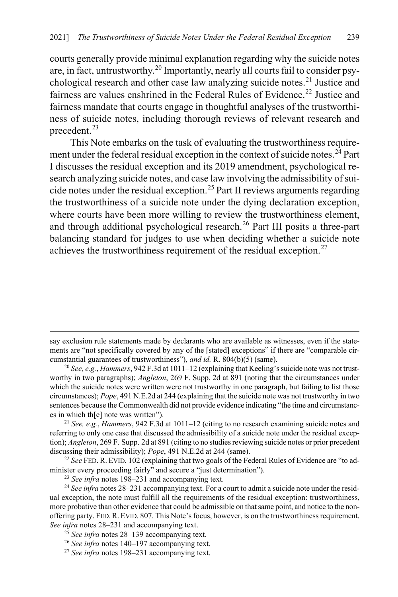courts generally provide minimal explanation regarding why the suicide notes are, in fact, untrustworthy.[20](#page-5-0) Importantly, nearly all courts fail to consider psy-chological research and other case law analyzing suicide notes.<sup>[21](#page-5-1)</sup> Justice and fairness are values enshrined in the Federal Rules of Evidence.<sup>[22](#page-5-2)</sup> Justice and fairness mandate that courts engage in thoughtful analyses of the trustworthiness of suicide notes, including thorough reviews of relevant research and precedent.<sup>[23](#page-5-3)</sup>

This Note embarks on the task of evaluating the trustworthiness require-ment under the federal residual exception in the context of suicide notes.<sup>[24](#page-5-4)</sup> Part I discusses the residual exception and its 2019 amendment, psychological research analyzing suicide notes, and case law involving the admissibility of sui-cide notes under the residual exception.<sup>[25](#page-5-5)</sup> Part II reviews arguments regarding the trustworthiness of a suicide note under the dying declaration exception, where courts have been more willing to review the trustworthiness element, and through additional psychological research.<sup>[26](#page-5-6)</sup> Part III posits a three-part balancing standard for judges to use when deciding whether a suicide note achieves the trustworthiness requirement of the residual exception.<sup>[27](#page-5-7)</sup>

 $\overline{a}$ 

say exclusion rule statements made by declarants who are available as witnesses, even if the statements are "not specifically covered by any of the [stated] exceptions" if there are "comparable circumstantial guarantees of trustworthiness"), *and id.* R. 804(b)(5) (same).

<span id="page-5-0"></span><sup>20</sup> *See, e.g.*, *Hammers*, 942 F.3d at 1011–12 (explaining that Keeling's suicide note was not trustworthy in two paragraphs); *Angleton*, 269 F. Supp. 2d at 891 (noting that the circumstances under which the suicide notes were written were not trustworthy in one paragraph, but failing to list those circumstances); *Pope*, 491 N.E.2d at 244 (explaining that the suicide note was not trustworthy in two sentences because the Commonwealth did not provide evidence indicating "the time and circumstances in which th[e] note was written").

<span id="page-5-1"></span><sup>21</sup> *See, e.g.*, *Hammers*, 942 F.3d at 1011–12 (citing to no research examining suicide notes and referring to only one case that discussed the admissibility of a suicide note under the residual exception); *Angleton*, 269 F. Supp. 2d at 891 (citing to no studies reviewing suicide notes or prior precedent discussing their admissibility); *Pope*, 491 N.E.2d at 244 (same).

<span id="page-5-2"></span><sup>22</sup> *See* FED. R. EVID. 102 (explaining that two goals of the Federal Rules of Evidence are "to administer every proceeding fairly" and secure a "just determination").

<sup>23</sup> *See infra* note[s 198](#page-33-0)[–231](#page-38-0) and accompanying text.

<span id="page-5-4"></span><span id="page-5-3"></span><sup>&</sup>lt;sup>24</sup> See infra note[s 28–](#page-6-0)[231](#page-38-0) accompanying text. For a court to admit a suicide note under the residual exception, the note must fulfill all the requirements of the residual exception: trustworthiness, more probative than other evidence that could be admissible on that same point, and notice to the nonoffering party. FED.R. EVID. 807. This Note's focus, however, is on the trustworthiness requirement. *See infra* note[s 28](#page-6-0)[–231](#page-38-0) and accompanying text.

<span id="page-5-5"></span><sup>25</sup> *See infra* note[s 28–](#page-6-0)[139 a](#page-24-0)ccompanying text.

<span id="page-5-6"></span><sup>26</sup> *See infra* note[s 140](#page-24-1)[–197](#page-33-1) accompanying text.

<span id="page-5-7"></span><sup>27</sup> *See infra* note[s 198](#page-33-0)[–231](#page-38-0) accompanying text.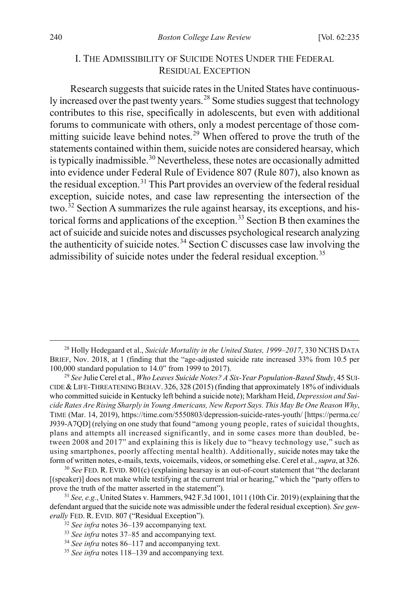## <span id="page-6-9"></span><span id="page-6-0"></span>I. THE ADMISSIBILITY OF SUICIDE NOTES UNDER THE FEDERAL RESIDUAL EXCEPTION

Research suggests that suicide rates in the United States have continuously increased over the past twenty years.[28](#page-6-1) Some studies suggest that technology contributes to this rise, specifically in adolescents, but even with additional forums to communicate with others, only a modest percentage of those com-mitting suicide leave behind notes.<sup>[29](#page-6-2)</sup> When offered to prove the truth of the statements contained within them, suicide notes are considered hearsay, which is typically inadmissible.<sup>[30](#page-6-3)</sup> Nevertheless, these notes are occasionally admitted into evidence under Federal Rule of Evidence 807 (Rule 807), also known as the residual exception.<sup>[31](#page-6-4)</sup> This Part provides an overview of the federal residual exception, suicide notes, and case law representing the intersection of the two.<sup>[32](#page-6-5)</sup> Section A summarizes the rule against hearsay, its exceptions, and his-torical forms and applications of the exception.<sup>[33](#page-6-6)</sup> Section B then examines the act of suicide and suicide notes and discusses psychological research analyzing the authenticity of suicide notes.<sup>[34](#page-6-7)</sup> Section C discusses case law involving the admissibility of suicide notes under the federal residual exception.<sup>[35](#page-6-8)</sup>

<span id="page-6-1"></span> <sup>28</sup> Holly Hedegaard et al., *Suicide Mortality in the United States, 1999–2017*, 330 NCHS DATA BRIEF, Nov. 2018, at 1 (finding that the "age-adjusted suicide rate increased 33% from 10.5 per 100,000 standard population to 14.0" from 1999 to 2017).

<span id="page-6-2"></span><sup>29</sup> *See* Julie Cerel et al., *Who Leaves Suicide Notes? A Six-Year Population-Based Study*, 45 SUI-CIDE &LIFE-THREATENING BEHAV. 326, 328 (2015) (finding that approximately 18% of individuals who committed suicide in Kentucky left behind a suicide note); Markham Heid, *Depression and Suicide Rates Are Rising Sharply in Young Americans, New Report Says. This May Be One Reason Why*, TIME (Mar. 14, 2019), https://time.com/5550803/depression-suicide-rates-youth/ [https://perma.cc/ J939-A7QD] (relying on one study that found "among young people, rates of suicidal thoughts, plans and attempts all increased significantly, and in some cases more than doubled, between 2008 and 2017" and explaining this is likely due to "heavy technology use," such as using smartphones, poorly affecting mental health). Additionally, suicide notes may take the form of written notes, e-mails, texts, voicemails, videos, or something else. Cerel et al., *supra*, at 326.

<span id="page-6-3"></span><sup>30</sup> *See* FED. R. EVID. 801(c) (explaining hearsay is an out-of-court statement that "the declarant [(speaker)] does not make while testifying at the current trial or hearing," which the "party offers to prove the truth of the matter asserted in the statement").

<span id="page-6-6"></span><span id="page-6-5"></span><span id="page-6-4"></span><sup>31</sup> *See, e.g.*, United States v. Hammers, 942 F.3d 1001, 1011 (10th Cir. 2019) (explaining that the defendant argued that the suicide note was admissible under the federal residual exception). *See generally* FED. R. EVID. 807 ("Residual Exception").

<sup>32</sup> *See infra* note[s 36–](#page-7-0)[139](#page-24-0) accompanying text.

<sup>33</sup> *See infra* note[s 37–](#page-7-1)[85](#page-15-0) and accompanying text.

<span id="page-6-7"></span><sup>34</sup> *See infra* note[s 86–](#page-16-0)[117](#page-21-0) and accompanying text.

<span id="page-6-8"></span><sup>35</sup> *See infra* note[s 118](#page-21-1)[–139](#page-24-0) and accompanying text.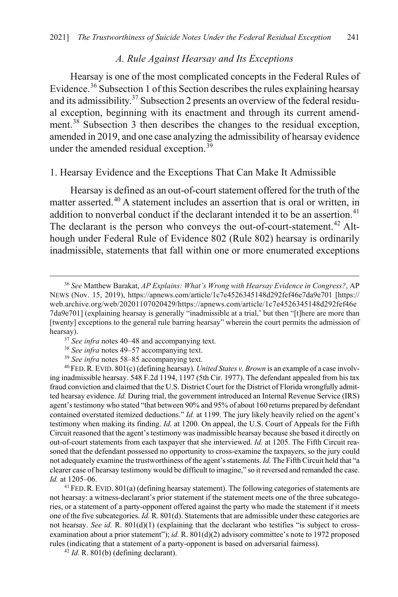#### <span id="page-7-1"></span><span id="page-7-0"></span>*A. Rule Against Hearsay and Its Exceptions*

Hearsay is one of the most complicated concepts in the Federal Rules of Evidence.[36](#page-7-3) Subsection 1 of this Section describes the rules explaining hearsay and its admissibility.<sup>[37](#page-7-4)</sup> Subsection 2 presents an overview of the federal residual exception, beginning with its enactment and through its current amend-ment.<sup>[38](#page-7-5)</sup> Subsection 3 then describes the changes to the residual exception, amended in 2019, and one case analyzing the admissibility of hearsay evidence under the amended residual exception.<sup>[39](#page-7-6)</sup>

## 1. Hearsay Evidence and the Exceptions That Can Make It Admissible

<span id="page-7-2"></span>Hearsay is defined as an out-of-court statement offered for the truth of the matter asserted.<sup>[40](#page-7-7)</sup> A statement includes an assertion that is oral or written, in addition to nonverbal conduct if the declarant intended it to be an assertion.<sup>[41](#page-7-8)</sup> The declarant is the person who conveys the out-of-court-statement.<sup>[42](#page-7-9)</sup> Although under Federal Rule of Evidence 802 (Rule 802) hearsay is ordinarily inadmissible, statements that fall within one or more enumerated exceptions

<sup>39</sup> *See infra* note[s 58–](#page-11-0)[85](#page-15-0) accompanying text.

<span id="page-7-7"></span><span id="page-7-6"></span><span id="page-7-5"></span><span id="page-7-4"></span><sup>40</sup> FED.R. EVID. 801(c) (defining hearsay). *United States v. Brown* is an example of a case involving inadmissible hearsay. 548 F.2d 1194, 1197 (5th Cir. 1977). The defendant appealed from his tax fraud conviction and claimed that the U.S. District Court for the District of Florida wrongfully admitted hearsay evidence. *Id.* During trial, the government introduced an Internal Revenue Service (IRS) agent's testimony who stated "that between 90% and 95% of about 160 returns prepared by defendant contained overstated itemized deductions." *Id.* at 1199. The jury likely heavily relied on the agent's testimony when making its finding. *Id.* at 1200. On appeal, the U.S. Court of Appeals for the Fifth Circuit reasoned that the agent's testimony was inadmissible hearsay because she based it directly on out-of-court statements from each taxpayer that she interviewed. *Id.* at 1205. The Fifth Circuit reasoned that the defendant possessed no opportunity to cross-examine the taxpayers, so the jury could not adequately examine the trustworthiness of the agent's statements. *Id.* The Fifth Circuit held that "a clearer case of hearsay testimony would be difficult to imagine," so it reversed and remanded the case.

<span id="page-7-8"></span>*Id.* at 1205–06.<br><sup>41</sup> FED. R. EVID. 801(a) (defining hearsay statement). The following categories of statements are not hearsay: a witness-declarant's prior statement if the statement meets one of the three subcategories, or a statement of a party-opponent offered against the party who made the statement if it meets one of the five subcategories. *Id.* R. 801(d). Statements that are admissible under these categories are not hearsay. *See id.* R. 801(d)(1) (explaining that the declarant who testifies "is subject to crossexamination about a prior statement"); *id.* R. 801(d)(2) advisory committee's note to 1972 proposed rules (indicating that a statement of a party-opponent is based on adversarial fairness).

<span id="page-7-9"></span> $42$  *Id.* R. 801(b) (defining declarant).

<span id="page-7-3"></span> <sup>36</sup> *See* Matthew Barakat, *AP Explains: What's Wrong with Hearsay Evidence in Congress?*, AP NEWS (Nov. 15, 2019), https://apnews.com/article/1c7e4526345148d292fef46e7da9e701 [https:// web.archive.org/web/20201107020429/https://apnews.com/article/1c7e4526345148d292fef46e 7da9e701] (explaining hearsay is generally "inadmissible at a trial,' but then "[t]here are more than [twenty] exceptions to the general rule barring hearsay" wherein the court permits the admission of hearsay). 37 *See infra* note[s 40–](#page-7-2)[48](#page-8-0) and accompanying text.

<sup>38</sup> *See infra* note[s 49–](#page-9-0)[57](#page-10-0) accompanying text.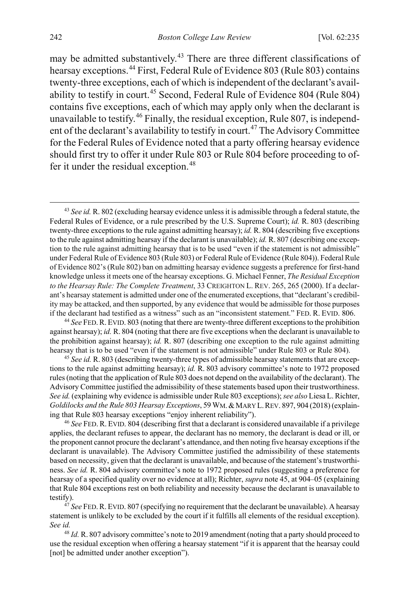<span id="page-8-8"></span><span id="page-8-1"></span>may be admitted substantively.<sup>43</sup> There are three different classifications of hearsay exceptions.[44](#page-8-3) First, Federal Rule of Evidence 803 (Rule 803) contains twenty-three exceptions, each of which is independent of the declarant's avail-ability to testify in court.<sup>[45](#page-8-4)</sup> Second, Federal Rule of Evidence 804 (Rule 804) contains five exceptions, each of which may apply only when the declarant is unavailable to testify.<sup>[46](#page-8-5)</sup> Finally, the residual exception, Rule 807, is independ-ent of the declarant's availability to testify in court.<sup>[47](#page-8-6)</sup> The Advisory Committee for the Federal Rules of Evidence noted that a party offering hearsay evidence should first try to offer it under Rule 803 or Rule 804 before proceeding to of-fer it under the residual exception.<sup>[48](#page-8-7)</sup>

<span id="page-8-2"></span><span id="page-8-0"></span> 43 *See id.* R. 802 (excluding hearsay evidence unless it is admissible through a federal statute, the Federal Rules of Evidence, or a rule prescribed by the U.S. Supreme Court); *id.* R. 803 (describing twenty-three exceptions to the rule against admitting hearsay); *id.* R. 804 (describing five exceptions to the rule against admitting hearsay if the declarant is unavailable); *id.* R. 807 (describing one exception to the rule against admitting hearsay that is to be used "even if the statement is not admissible" under Federal Rule of Evidence 803 (Rule 803) or Federal Rule of Evidence (Rule 804)). Federal Rule of Evidence 802's (Rule 802) ban on admitting hearsay evidence suggests a preference for first-hand knowledge unless it meets one of the hearsay exceptions. G. Michael Fenner, *The Residual Exception to the Hearsay Rule: The Complete Treatment*, 33 CREIGHTON L. REV. 265, 265 (2000). If a declarant's hearsay statement is admitted under one of the enumerated exceptions, that "declarant's credibility may be attacked, and then supported, by any evidence that would be admissible for those purposes if the declarant had testified as a witness" such as an "inconsistent statement." FED. R. EVID. 806.

<span id="page-8-3"></span><sup>44</sup> *See* FED.R. EVID. 803 (noting that there are twenty-three different exceptions to the prohibition against hearsay); *id.* R. 804 (noting that there are five exceptions when the declarant is unavailable to the prohibition against hearsay); *id.* R. 807 (describing one exception to the rule against admitting hearsay that is to be used "even if the statement is not admissible" under Rule 803 or Rule 804).

<span id="page-8-4"></span><sup>45</sup> *See id.* R. 803 (describing twenty-three types of admissible hearsay statements that are exceptions to the rule against admitting hearsay); *id.* R. 803 advisory committee's note to 1972 proposed rules (noting that the application of Rule 803 does not depend on the availability of the declarant). The Advisory Committee justified the admissibility of these statements based upon their trustworthiness. *See id.* (explaining why evidence is admissible under Rule 803 exceptions); *see also* Liesa L. Richter, *Goldilocks and the Rule 803 Hearsay Exceptions*, 59 WM.&MARY L.REV. 897, 904 (2018) (explaining that Rule 803 hearsay exceptions "enjoy inherent reliability").

<span id="page-8-5"></span><sup>46</sup> *See* FED.R. EVID. 804 (describing first that a declarant is considered unavailable if a privilege applies, the declarant refuses to appear, the declarant has no memory, the declarant is dead or ill, or the proponent cannot procure the declarant's attendance, and then noting five hearsay exceptions if the declarant is unavailable). The Advisory Committee justified the admissibility of these statements based on necessity, given that the declarant is unavailable, and because of the statement's trustworthiness. *See id.* R. 804 advisory committee's note to 1972 proposed rules (suggesting a preference for hearsay of a specified quality over no evidence at all); Richter, *supra* note [45,](#page-8-1) at 904–05 (explaining that Rule 804 exceptions rest on both reliability and necessity because the declarant is unavailable to testify).

<span id="page-8-6"></span><sup>47</sup> See FED. R. EVID. 807 (specifying no requirement that the declarant be unavailable). A hearsay statement is unlikely to be excluded by the court if it fulfills all elements of the residual exception). *See id.*

<span id="page-8-7"></span><sup>48</sup> *Id.* R. 807 advisory committee's note to 2019 amendment (noting that a party should proceed to use the residual exception when offering a hearsay statement "if it is apparent that the hearsay could [not] be admitted under another exception").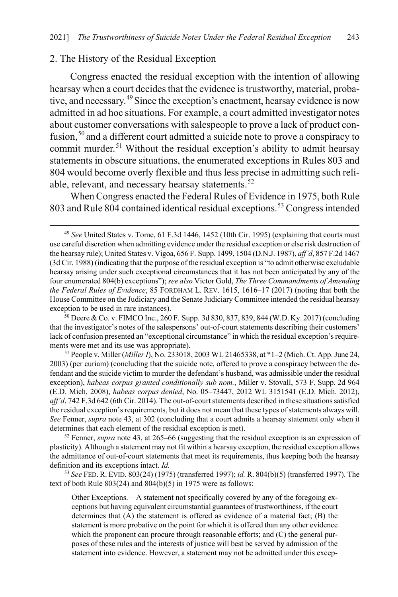#### 2. The History of the Residual Exception

<span id="page-9-0"></span>Congress enacted the residual exception with the intention of allowing hearsay when a court decides that the evidence is trustworthy, material, probative, and necessary.[49](#page-9-1)Since the exception's enactment, hearsay evidence is now admitted in ad hoc situations. For example, a court admitted investigator notes about customer conversations with salespeople to prove a lack of product con-fusion,<sup>[50](#page-9-2)</sup> and a different court admitted a suicide note to prove a conspiracy to commit murder.<sup>[51](#page-9-3)</sup> Without the residual exception's ability to admit hearsay statements in obscure situations, the enumerated exceptions in Rules 803 and 804 would become overly flexible and thus less precise in admitting such reli-able, relevant, and necessary hearsay statements.<sup>[52](#page-9-4)</sup>

<span id="page-9-6"></span>When Congress enacted the Federal Rules of Evidence in 1975, both Rule 803 and Rule 804 contained identical residual exceptions.<sup>[53](#page-9-5)</sup> Congress intended

<span id="page-9-2"></span><sup>50</sup> Deere & Co. v. FIMCO Inc., 260 F. Supp. 3d 830, 837, 839, 844 (W.D. Ky. 2017) (concluding that the investigator's notes of the salespersons' out-of-court statements describing their customers' lack of confusion presented an "exceptional circumstance" in which the residual exception's requirements were met and its use was appropriate).

<span id="page-9-3"></span><sup>51</sup> People v. Miller (*Miller I*), No. 233018, 2003 WL 21465338, at \*1–2 (Mich. Ct. App. June 24, 2003) (per curiam) (concluding that the suicide note, offered to prove a conspiracy between the defendant and the suicide victim to murder the defendant's husband, was admissible under the residual exception), *habeas corpus granted conditionally sub nom.*, Miller v. Stovall, 573 F. Supp. 2d 964 (E.D. Mich. 2008), *habeas corpus denied*, No. 05–73447, 2012 WL 3151541 (E.D. Mich. 2012), *aff'd*, 742 F.3d 642 (6th Cir. 2014). The out-of-court statements described in these situations satisfied the residual exception's requirements, but it does not mean that these types of statements always will. *See* Fenner, *supra* not[e 43,](#page-8-8) at 302 (concluding that a court admits a hearsay statement only when it determines that each element of the residual exception is met).

<span id="page-9-4"></span>52 Fenner, *supra* note [43,](#page-8-8) at 265–66 (suggesting that the residual exception is an expression of plasticity). Although a statement may not fit within a hearsay exception, the residual exception allows the admittance of out-of-court statements that meet its requirements, thus keeping both the hearsay definition and its exceptions intact. *Id.*

<span id="page-9-5"></span><sup>53</sup> *See* FED. R. EVID. 803(24) (1975) (transferred 1997); *id.* R. 804(b)(5) (transferred 1997). The text of both Rule  $803(24)$  and  $804(b)(5)$  in 1975 were as follows:

Other Exceptions.—A statement not specifically covered by any of the foregoing exceptions but having equivalent circumstantial guarantees of trustworthiness, if the court determines that (A) the statement is offered as evidence of a material fact; (B) the statement is more probative on the point for which it is offered than any other evidence which the proponent can procure through reasonable efforts; and (C) the general purposes of these rules and the interests of justice will best be served by admission of the statement into evidence. However, a statement may not be admitted under this excep-

<span id="page-9-1"></span> <sup>49</sup> *See* United States v. Tome, 61 F.3d 1446, 1452 (10th Cir. 1995) (explaining that courts must use careful discretion when admitting evidence under the residual exception or else risk destruction of the hearsay rule); United States v. Vigoa, 656 F. Supp. 1499, 1504 (D.N.J. 1987), *aff'd*, 857 F.2d 1467 (3d Cir. 1988) (indicating that the purpose of the residual exception is "to admit otherwise excludable hearsay arising under such exceptional circumstances that it has not been anticipated by any of the four enumerated 804(b) exceptions"); *see also* Victor Gold, *The Three Commandments of Amending the Federal Rules of Evidence*, 85 FORDHAM L. REV. 1615, 1616–17 (2017) (noting that both the House Committee on the Judiciary and the Senate Judiciary Committee intended the residual hearsay exception to be used in rare instances).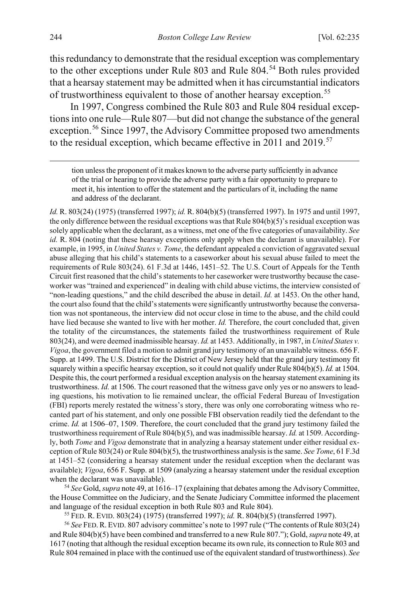this redundancy to demonstrate that the residual exception was complementary to the other exceptions under Rule 803 and Rule 804.<sup>[54](#page-10-1)</sup> Both rules provided that a hearsay statement may be admitted when it has circumstantial indicators of trustworthiness equivalent to those of another hearsay exception.<sup>[55](#page-10-2)</sup>

In 1997, Congress combined the Rule 803 and Rule 804 residual exceptions into one rule—Rule 807—but did not change the substance of the general exception.<sup>[56](#page-10-3)</sup> Since 1997, the Advisory Committee proposed two amendments to the residual exception, which became effective in 2011 and 2019.<sup>[57](#page-10-4)</sup>

<span id="page-10-0"></span> tion unless the proponent of it makes known to the adverse party sufficiently in advance of the trial or hearing to provide the adverse party with a fair opportunity to prepare to meet it, his intention to offer the statement and the particulars of it, including the name and address of the declarant.

<span id="page-10-4"></span>*Id.* R. 803(24) (1975) (transferred 1997); *id.* R. 804(b)(5) (transferred 1997). In 1975 and until 1997, the only difference between the residual exceptions was that Rule 804(b)(5)'s residual exception was solely applicable when the declarant, as a witness, met one of the five categories of unavailability. *See id.* R. 804 (noting that these hearsay exceptions only apply when the declarant is unavailable). For example, in 1995, in *United States v. Tome*, the defendant appealed a conviction of aggravated sexual abuse alleging that his child's statements to a caseworker about his sexual abuse failed to meet the requirements of Rule 803(24). 61 F.3d at 1446, 1451–52. The U.S. Court of Appeals for the Tenth Circuit first reasoned that the child's statements to her caseworker were trustworthy because the caseworker was "trained and experienced" in dealing with child abuse victims, the interview consisted of "non-leading questions," and the child described the abuse in detail. *Id.* at 1453. On the other hand, the court also found that the child's statements were significantly untrustworthy because the conversation was not spontaneous, the interview did not occur close in time to the abuse, and the child could have lied because she wanted to live with her mother. *Id.* Therefore, the court concluded that, given the totality of the circumstances, the statements failed the trustworthiness requirement of Rule 803(24), and were deemed inadmissible hearsay. *Id.* at 1453. Additionally, in 1987, in *United States v. Vigoa*, the government filed a motion to admit grand jury testimony of an unavailable witness. 656 F. Supp. at 1499. The U.S. District for the District of New Jersey held that the grand jury testimony fit squarely within a specific hearsay exception, so it could not qualify under Rule 804(b)(5). *Id.* at 1504. Despite this, the court performed a residual exception analysis on the hearsay statement examining its trustworthiness. *Id.* at 1506. The court reasoned that the witness gave only yes or no answers to leading questions, his motivation to lie remained unclear, the official Federal Bureau of Investigation (FBI) reports merely restated the witness's story, there was only one corroborating witness who recanted part of his statement, and only one possible FBI observation readily tied the defendant to the crime. *Id.* at 1506–07, 1509. Therefore, the court concluded that the grand jury testimony failed the trustworthiness requirement of Rule 804(b)(5), and was inadmissible hearsay. *Id.* at 1509. Accordingly, both *Tome* and *Vigoa* demonstrate that in analyzing a hearsay statement under either residual exception of Rule 803(24) or Rule 804(b)(5), the trustworthiness analysis is the same. *See Tome*, 61 F.3d at 1451–52 (considering a hearsay statement under the residual exception when the declarant was available); *Vigoa*, 656 F. Supp. at 1509 (analyzing a hearsay statement under the residual exception when the declarant was unavailable).

<span id="page-10-1"></span><sup>54</sup> *See* Gold, *supra* not[e 49,](#page-9-0) at 1616–17 (explaining that debates among the Advisory Committee, the House Committee on the Judiciary, and the Senate Judiciary Committee informed the placement and language of the residual exception in both Rule 803 and Rule 804).

<sup>55</sup> FED. R. EVID. 803(24) (1975) (transferred 1997); *id.* R. 804(b)(5) (transferred 1997).

<span id="page-10-3"></span><span id="page-10-2"></span><sup>56</sup> *See* FED.R. EVID. 807 advisory committee's note to 1997 rule ("The contents of Rule 803(24) and Rule 804(b)(5) have been combined and transferred to a new Rule 807."); Gold, *supra* not[e 49,](#page-9-0) at 1617 (noting that although the residual exception became its own rule, its connection to Rule 803 and Rule 804 remained in place with the continued use of the equivalent standard of trustworthiness). *See*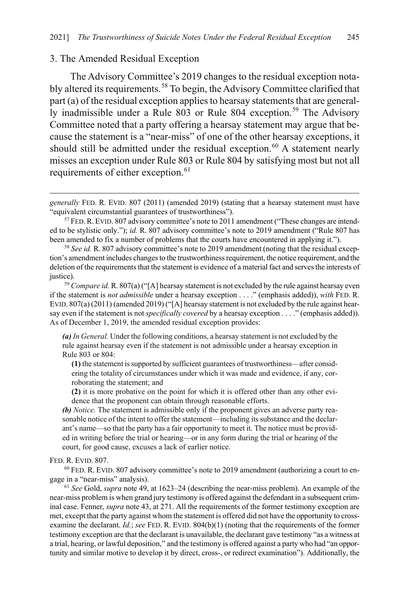#### 3. The Amended Residual Exception

<span id="page-11-0"></span>The Advisory Committee's 2019 changes to the residual exception nota-bly altered its requirements.<sup>[58](#page-11-1)</sup> To begin, the Advisory Committee clarified that part (a) of the residual exception applies to hearsay statements that are general-ly inadmissible under a Rule 803 or Rule 804 exception.<sup>[59](#page-11-2)</sup> The Advisory Committee noted that a party offering a hearsay statement may argue that because the statement is a "near-miss" of one of the other hearsay exceptions, it should still be admitted under the residual exception.<sup>[60](#page-11-3)</sup> A statement nearly misses an exception under Rule 803 or Rule 804 by satisfying most but not all requirements of either exception.<sup>[61](#page-11-4)</sup>

*(a) In General.* Under the following conditions, a hearsay statement is not excluded by the rule against hearsay even if the statement is not admissible under a hearsay exception in Rule 803 or 804:

**(1)** the statement is supported by sufficient guarantees of trustworthiness—after considering the totality of circumstances under which it was made and evidence, if any, corroborating the statement; and

**(2)** it is more probative on the point for which it is offered other than any other evidence that the proponent can obtain through reasonable efforts.

*(b) Notice.* The statement is admissible only if the proponent gives an adverse party reasonable notice of the intent to offer the statement—including its substance and the declarant's name—so that the party has a fair opportunity to meet it. The notice must be provided in writing before the trial or hearing—or in any form during the trial or hearing of the court, for good cause, excuses a lack of earlier notice.

#### FED. R. EVID. 807.

 $\overline{a}$ 

<span id="page-11-3"></span> $60$  FED. R. EVID. 807 advisory committee's note to 2019 amendment (authorizing a court to engage in a "near-miss" analysis).

<span id="page-11-4"></span><sup>61</sup> *See* Gold, *supra* note [49,](#page-9-0) at 1623–24 (describing the near-miss problem). An example of the near-miss problem is when grand jury testimony is offered against the defendant in a subsequent criminal case. Fenner, *supra* not[e 43,](#page-8-8) at 271. All the requirements of the former testimony exception are met, except that the party against whom the statement is offered did not have the opportunity to crossexamine the declarant. *Id.*; *see* FED. R. EVID. 804(b)(1) (noting that the requirements of the former testimony exception are that the declarant is unavailable, the declarant gave testimony "as a witness at a trial, hearing, or lawful deposition," and the testimony is offered against a party who had "an opportunity and similar motive to develop it by direct, cross-, or redirect examination"). Additionally, the

*generally* FED. R. EVID. 807 (2011) (amended 2019) (stating that a hearsay statement must have "equivalent circumstantial guarantees of trustworthiness").

<sup>&</sup>lt;sup>57</sup> FED. R. EVID. 807 advisory committee's note to 2011 amendment ("These changes are intended to be stylistic only."); *id.* R. 807 advisory committee's note to 2019 amendment ("Rule 807 has been amended to fix a number of problems that the courts have encountered in applying it.").

<span id="page-11-1"></span><sup>58</sup> *See id.* R. 807 advisory committee's note to 2019 amendment (noting that the residual exception's amendment includes changes to the trustworthiness requirement, the notice requirement, and the deletion of the requirements that the statement is evidence of a material fact and serves the interests of justice). 59 *Compare id.* R. 807(a) ("[A] hearsay statement is not excluded by the rule against hearsay even

<span id="page-11-2"></span>if the statement is *not admissible* under a hearsay exception . . . ." (emphasis added)), *with* FED. R. EVID.  $807(a) (2011)$  (amended  $2019$ ) ("[A] hearsay statement is not excluded by the rule against hearsay even if the statement is not *specifically covered* by a hearsay exception . . . ." (emphasis added)). As of December 1, 2019, the amended residual exception provides: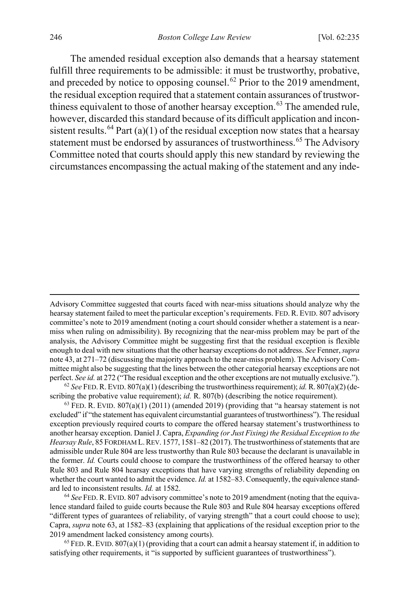<span id="page-12-0"></span>The amended residual exception also demands that a hearsay statement fulfill three requirements to be admissible: it must be trustworthy, probative, and preceded by notice to opposing counsel.<sup>[62](#page-12-1)</sup> Prior to the 2019 amendment, the residual exception required that a statement contain assurances of trustwor-thiness equivalent to those of another hearsay exception.<sup>[63](#page-12-2)</sup> The amended rule, however, discarded this standard because of its difficult application and incon-sistent results.<sup>[64](#page-12-3)</sup> Part (a)(1) of the residual exception now states that a hearsay statement must be endorsed by assurances of trustworthiness.<sup>[65](#page-12-4)</sup> The Advisory Committee noted that courts should apply this new standard by reviewing the circumstances encompassing the actual making of the statement and any inde-

<span id="page-12-1"></span> $^{62}$  *See* FED. R. EVID. 807(a)(1) (describing the trustworthiness requirement); *id.* R. 807(a)(2) (describing the probative value requirement); *id.* R. 807(b) (describing the notice requirement).

<span id="page-12-2"></span> $63$  FED. R. EVID.  $807(a)(1)$  (2011) (amended 2019) (providing that "a hearsay statement is not excluded" if "the statement has equivalent circumstantial guarantees of trustworthiness"). The residual exception previously required courts to compare the offered hearsay statement's trustworthiness to another hearsay exception. Daniel J. Capra, *Expanding (or Just Fixing) the Residual Exception to the Hearsay Rule*, 85 FORDHAM L.REV. 1577, 1581–82 (2017). The trustworthiness of statements that are admissible under Rule 804 are less trustworthy than Rule 803 because the declarant is unavailable in the former. *Id.* Courts could choose to compare the trustworthiness of the offered hearsay to other Rule 803 and Rule 804 hearsay exceptions that have varying strengths of reliability depending on whether the court wanted to admit the evidence. *Id.* at 1582–83. Consequently, the equivalence standard led to inconsistent results. *Id.* at 1582.

<span id="page-12-3"></span><sup>64</sup> *See* FED.R. EVID. 807 advisory committee's note to 2019 amendment (noting that the equivalence standard failed to guide courts because the Rule 803 and Rule 804 hearsay exceptions offered "different types of guarantees of reliability, of varying strength" that a court could choose to use); Capra, *supra* not[e 63,](#page-12-0) at 1582–83 (explaining that applications of the residual exception prior to the 2019 amendment lacked consistency among courts).

<span id="page-12-4"></span> $65$  FED. R. EVID.  $807(a)(1)$  (providing that a court can admit a hearsay statement if, in addition to satisfying other requirements, it "is supported by sufficient guarantees of trustworthiness").

 $\overline{a}$ 

Advisory Committee suggested that courts faced with near-miss situations should analyze why the hearsay statement failed to meet the particular exception's requirements. FED.R. EVID. 807 advisory committee's note to 2019 amendment (noting a court should consider whether a statement is a nearmiss when ruling on admissibility). By recognizing that the near-miss problem may be part of the analysis, the Advisory Committee might be suggesting first that the residual exception is flexible enough to deal with new situations that the other hearsay exceptions do not address. *See* Fenner, *supra*  not[e 43,](#page-8-8) at 271–72 (discussing the majority approach to the near-miss problem). The Advisory Committee might also be suggesting that the lines between the other categorial hearsay exceptions are not perfect. *See id.* at 272 ("The residual exception and the other exceptions are not mutually exclusive.").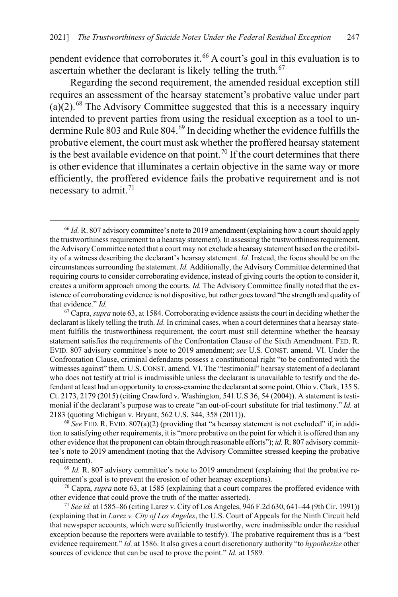<span id="page-13-6"></span>pendent evidence that corroborates it.<sup>[66](#page-13-0)</sup> A court's goal in this evaluation is to ascertain whether the declarant is likely telling the truth. $67$ 

Regarding the second requirement, the amended residual exception still requires an assessment of the hearsay statement's probative value under part  $(a)(2)$ .<sup>[68](#page-13-2)</sup> The Advisory Committee suggested that this is a necessary inquiry intended to prevent parties from using the residual exception as a tool to un-dermine Rule 803 and Rule 804.<sup>[69](#page-13-3)</sup> In deciding whether the evidence fulfills the probative element, the court must ask whether the proffered hearsay statement is the best available evidence on that point.<sup>[70](#page-13-4)</sup> If the court determines that there is other evidence that illuminates a certain objective in the same way or more efficiently, the proffered evidence fails the probative requirement and is not necessary to admit.<sup>[71](#page-13-5)</sup>

<span id="page-13-0"></span><sup>&</sup>lt;sup>66</sup> Id. R. 807 advisory committee's note to 2019 amendment (explaining how a court should apply the trustworthiness requirement to a hearsay statement). In assessing the trustworthiness requirement, the Advisory Committee noted that a court may not exclude a hearsay statement based on the credibility of a witness describing the declarant's hearsay statement. *Id.* Instead, the focus should be on the circumstances surrounding the statement. *Id.* Additionally, the Advisory Committee determined that requiring courts to consider corroborating evidence, instead of giving courts the option to consider it, creates a uniform approach among the courts. *Id.* The Advisory Committee finally noted that the existence of corroborating evidence is not dispositive, but rather goes toward "the strength and quality of that evidence." *Id.*

<span id="page-13-1"></span><sup>67</sup> Capra, *supra* not[e 63,](#page-12-0) at 1584. Corroborating evidence assists the court in deciding whether the declarant is likely telling the truth. *Id.* In criminal cases, when a court determines that a hearsay statement fulfills the trustworthiness requirement, the court must still determine whether the hearsay statement satisfies the requirements of the Confrontation Clause of the Sixth Amendment. FED. R. EVID. 807 advisory committee's note to 2019 amendment; *see* U.S. CONST. amend. VI. Under the Confrontation Clause, criminal defendants possess a constitutional right "to be confronted with the witnesses against" them. U.S.CONST. amend. VI. The "testimonial" hearsay statement of a declarant who does not testify at trial is inadmissible unless the declarant is unavailable to testify and the defendant at least had an opportunity to cross-examine the declarant at some point. Ohio v. Clark, 135 S. Ct. 2173, 2179 (2015) (citing Crawford v. Washington, 541 U.S 36, 54 (2004)). A statement is testimonial if the declarant's purpose was to create "an out-of-court substitute for trial testimony." *Id.* at 2183 (quoting Michigan v. Bryant, 562 U.S. 344, 358 (2011)).

<span id="page-13-2"></span><sup>68</sup> *See* FED. R. EVID. 807(a)(2) (providing that "a hearsay statement is not excluded" if, in addition to satisfying other requirements, it is "more probative on the point for which it is offered than any other evidence that the proponent can obtain through reasonable efforts"); *id.* R. 807 advisory committee's note to 2019 amendment (noting that the Advisory Committee stressed keeping the probative requirement).

<span id="page-13-3"></span><sup>&</sup>lt;sup>69</sup> Id. R. 807 advisory committee's note to 2019 amendment (explaining that the probative requirement's goal is to prevent the erosion of other hearsay exceptions).

<span id="page-13-4"></span><sup>70</sup> Capra, *supra* not[e 63,](#page-12-0) at 1585 (explaining that a court compares the proffered evidence with other evidence that could prove the truth of the matter asserted).

<span id="page-13-5"></span><sup>71</sup> *See id.* at 1585–86 (citing Larez v. City of Los Angeles, 946 F.2d 630, 641–44 (9th Cir. 1991)) (explaining that in *Larez v. City of Los Angeles*, the U.S. Court of Appeals for the Ninth Circuit held that newspaper accounts, which were sufficiently trustworthy, were inadmissible under the residual exception because the reporters were available to testify). The probative requirement thus is a "best evidence requirement." *Id.* at 1586. It also gives a court discretionary authority "to *hypothesize* other sources of evidence that can be used to prove the point." *Id.* at 1589.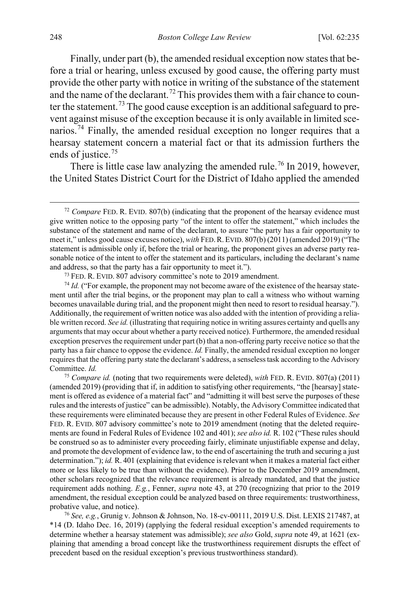Finally, under part (b), the amended residual exception now states that before a trial or hearing, unless excused by good cause, the offering party must provide the other party with notice in writing of the substance of the statement and the name of the declarant.<sup>[72](#page-14-1)</sup> This provides them with a fair chance to coun-ter the statement.<sup>[73](#page-14-2)</sup> The good cause exception is an additional safeguard to prevent against misuse of the exception because it is only available in limited sce-narios.<sup>[74](#page-14-3)</sup> Finally, the amended residual exception no longer requires that a hearsay statement concern a material fact or that its admission furthers the ends of justice.<sup>[75](#page-14-4)</sup>

<span id="page-14-0"></span>There is little case law analyzing the amended rule.<sup>[76](#page-14-5)</sup> In 2019, however, the United States District Court for the District of Idaho applied the amended

<span id="page-14-3"></span><span id="page-14-2"></span><sup>74</sup> *Id.* ("For example, the proponent may not become aware of the existence of the hearsay statement until after the trial begins, or the proponent may plan to call a witness who without warning becomes unavailable during trial, and the proponent might then need to resort to residual hearsay."). Additionally, the requirement of written notice was also added with the intention of providing a reliable written record. *See id.* (illustrating that requiring notice in writing assures certainty and quells any arguments that may occur about whether a party received notice). Furthermore, the amended residual exception preserves the requirement under part (b) that a non-offering party receive notice so that the party has a fair chance to oppose the evidence. *Id.* Finally, the amended residual exception no longer requires that the offering party state the declarant's address, a senseless task according to the Advisory Committee. *Id.*

<span id="page-14-4"></span><sup>75</sup> *Compare id.* (noting that two requirements were deleted), *with* FED. R. EVID. 807(a) (2011) (amended 2019) (providing that if, in addition to satisfying other requirements, "the [hearsay] statement is offered as evidence of a material fact" and "admitting it will best serve the purposes of these rules and the interests of justice" can be admissible). Notably, the Advisory Committee indicated that these requirements were eliminated because they are present in other Federal Rules of Evidence. *See*  FED. R. EVID. 807 advisory committee's note to 2019 amendment (noting that the deleted requirements are found in Federal Rules of Evidence 102 and 401); *see also id.* R. 102 ("These rules should be construed so as to administer every proceeding fairly, eliminate unjustifiable expense and delay, and promote the development of evidence law, to the end of ascertaining the truth and securing a just determination."); *id.* R. 401 (explaining that evidence is relevant when it makes a material fact either more or less likely to be true than without the evidence). Prior to the December 2019 amendment, other scholars recognized that the relevance requirement is already mandated, and that the justice requirement adds nothing. *E.g.*, Fenner, *supra* note [43,](#page-8-8) at 270 (recognizing that prior to the 2019 amendment, the residual exception could be analyzed based on three requirements: trustworthiness, probative value, and notice).

<span id="page-14-5"></span><sup>76</sup> *See, e.g.*, Grunig v. Johnson & Johnson, No. 18-cv-00111, 2019 U.S. Dist. LEXIS 217487, at \*14 (D. Idaho Dec. 16, 2019) (applying the federal residual exception's amended requirements to determine whether a hearsay statement was admissible); *see also* Gold, *supra* not[e 49,](#page-9-0) at 1621 (explaining that amending a broad concept like the trustworthiness requirement disrupts the effect of precedent based on the residual exception's previous trustworthiness standard).

<span id="page-14-1"></span> <sup>72</sup> *Compare* FED. R. EVID. 807(b) (indicating that the proponent of the hearsay evidence must give written notice to the opposing party "of the intent to offer the statement," which includes the substance of the statement and name of the declarant, to assure "the party has a fair opportunity to meet it," unless good cause excuses notice), *with* FED.R.EVID. 807(b) (2011) (amended 2019) ("The statement is admissible only if, before the trial or hearing, the proponent gives an adverse party reasonable notice of the intent to offer the statement and its particulars, including the declarant's name and address, so that the party has a fair opportunity to meet it.").

<sup>&</sup>lt;sup>73</sup> FED. R. EVID. 807 advisory committee's note to 2019 amendment.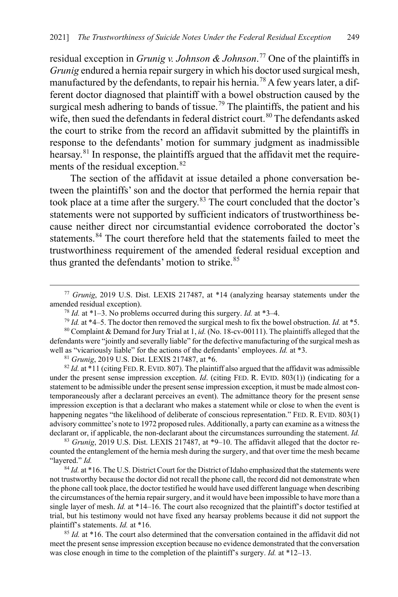residual exception in *Grunig v. Johnson & Johnson*. [77](#page-15-1) One of the plaintiffs in *Grunig* endured a hernia repair surgery in which his doctor used surgical mesh, manufactured by the defendants, to repair his hernia.<sup>[78](#page-15-2)</sup> A few years later, a different doctor diagnosed that plaintiff with a bowel obstruction caused by the surgical mesh adhering to bands of tissue.<sup>[79](#page-15-3)</sup> The plaintiffs, the patient and his wife, then sued the defendants in federal district court.<sup>[80](#page-15-4)</sup> The defendants asked the court to strike from the record an affidavit submitted by the plaintiffs in response to the defendants' motion for summary judgment as inadmissible hearsay.[81](#page-15-5) In response, the plaintiffs argued that the affidavit met the requirements of the residual exception. $82$ 

The section of the affidavit at issue detailed a phone conversation between the plaintiffs' son and the doctor that performed the hernia repair that took place at a time after the surgery. $83$  The court concluded that the doctor's statements were not supported by sufficient indicators of trustworthiness because neither direct nor circumstantial evidence corroborated the doctor's statements.<sup>84</sup> The court therefore held that the statements failed to meet the trustworthiness requirement of the amended federal residual exception and thus granted the defendants' motion to strike.<sup>[85](#page-15-9)</sup>

<sup>81</sup> *Grunig*, 2019 U.S. Dist. LEXIS 217487, at \*6.

<span id="page-15-6"></span><span id="page-15-5"></span> $82$  *Id.* at \*11 (citing FED. R. EVID. 807). The plaintiff also argued that the affidavit was admissible under the present sense impression exception. *Id.* (citing FED. R. EVID. 803(1)) (indicating for a statement to be admissible under the present sense impression exception, it must be made almost contemporaneously after a declarant perceives an event). The admittance theory for the present sense impression exception is that a declarant who makes a statement while or close to when the event is happening negates "the likelihood of deliberate of conscious representation." FED. R. EVID. 803(1) advisory committee's note to 1972 proposed rules. Additionally, a party can examine as a witness the declarant or, if applicable, the non-declarant about the circumstances surrounding the statement. *Id.*

<span id="page-15-7"></span>83 *Grunig*, 2019 U.S. Dist. LEXIS 217487, at \*9–10. The affidavit alleged that the doctor recounted the entanglement of the hernia mesh during the surgery, and that over time the mesh became "layered." *Id.*

<span id="page-15-8"></span><sup>84</sup> *Id.* at \*16. The U.S. District Court for the District of Idaho emphasized that the statements were not trustworthy because the doctor did not recall the phone call, the record did not demonstrate when the phone call took place, the doctor testified he would have used different language when describing the circumstances of the hernia repair surgery, and it would have been impossible to have more than a single layer of mesh. *Id.* at \*14–16. The court also recognized that the plaintiff's doctor testified at trial, but his testimony would not have fixed any hearsay problems because it did not support the plaintiff's statements. *Id.* at \*16.

<span id="page-15-9"></span><sup>85</sup> *Id.* at \*16. The court also determined that the conversation contained in the affidavit did not meet the present sense impression exception because no evidence demonstrated that the conversation was close enough in time to the completion of the plaintiff's surgery. *Id.* at \*12–13.

<span id="page-15-1"></span> <sup>77</sup> *Grunig*, 2019 U.S. Dist. LEXIS 217487, at \*14 (analyzing hearsay statements under the amended residual exception).<br><sup>78</sup> *Id.* at \*1–3. No problems occurred during this surgery. *Id.* at \*3–4.

<span id="page-15-0"></span>

<sup>&</sup>lt;sup>79</sup> *Id.* at \*4–5. The doctor then removed the surgical mesh to fix the bowel obstruction. *Id.* at \*5.

<span id="page-15-4"></span><span id="page-15-3"></span><span id="page-15-2"></span><sup>80</sup> Complaint & Demand for Jury Trial at 1, *id.* (No. 18-cv-00111). The plaintiffs alleged that the defendants were "jointly and severally liable" for the defective manufacturing of the surgical mesh as well as "vicariously liable" for the actions of the defendants' employees. *Id.* at \*3.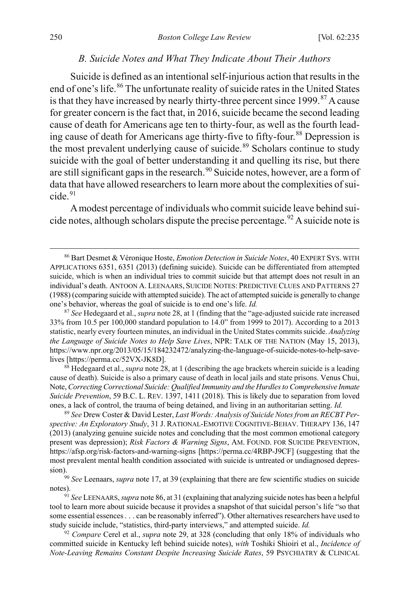#### <span id="page-16-9"></span><span id="page-16-8"></span><span id="page-16-0"></span>*B. Suicide Notes and What They Indicate About Their Authors*

Suicide is defined as an intentional self-injurious action that results in the end of one's life.<sup>[86](#page-16-1)</sup> The unfortunate reality of suicide rates in the United States is that they have increased by nearly thirty-three percent since  $1999$ .<sup>[87](#page-16-2)</sup> A cause for greater concern is the fact that, in 2016, suicide became the second leading cause of death for Americans age ten to thirty-four, as well as the fourth lead-ing cause of death for Americans age thirty-five to fifty-four.<sup>[88](#page-16-3)</sup> Depression is the most prevalent underlying cause of suicide.<sup>[89](#page-16-4)</sup> Scholars continue to study suicide with the goal of better understanding it and quelling its rise, but there are still significant gaps in the research.<sup>[90](#page-16-5)</sup> Suicide notes, however, are a form of data that have allowed researchers to learn more about the complexities of sui- $cide.91$  $cide.91$ 

A modest percentage of individuals who commit suicide leave behind sui-cide notes, although scholars dispute the precise percentage.<sup>[92](#page-16-7)</sup> A suicide note is

<span id="page-16-2"></span><sup>87</sup> *See* Hedegaard et al., *supra* not[e 28,](#page-6-0) at 1 (finding that the "age-adjusted suicide rate increased 33% from 10.5 per 100,000 standard population to 14.0" from 1999 to 2017). According to a 2013 statistic, nearly every fourteen minutes, an individual in the United States commits suicide. *Analyzing the Language of Suicide Notes to Help Save Lives*, NPR: TALK OF THE NATION (May 15, 2013), https://www.npr.org/2013/05/15/184232472/analyzing-the-language-of-suicide-notes-to-help-savelives [https://perma.cc/52VX-JK8D].

<span id="page-16-3"></span><sup>88</sup> Hedegaard et al., *supra* not[e 28,](#page-6-0) at 1 (describing the age brackets wherein suicide is a leading cause of death). Suicide is also a primary cause of death in local jails and state prisons. Venus Chui, Note, *Correcting Correctional Suicide: Qualified Immunity and the Hurdles to Comprehensive Inmate Suicide Prevention*, 59 B.C. L. REV. 1397, 1411 (2018). This is likely due to separation from loved ones, a lack of control, the trauma of being detained, and living in an authoritarian setting. *Id.*

<span id="page-16-4"></span><sup>89</sup> *See* Drew Coster & David Lester, *Last Words: Analysis of Suicide Notes from an RECBT Perspective: An Exploratory Study*, 31 J. RATIONAL-EMOTIVE COGNITIVE-BEHAV. THERAPY 136, 147 (2013) (analyzing genuine suicide notes and concluding that the most common emotional category present was depression); *Risk Factors & Warning Signs*, AM. FOUND. FOR SUICIDE PREVENTION, https://afsp.org/risk-factors-and-warning-signs [https://perma.cc/4RBP-J9CF] (suggesting that the most prevalent mental health condition associated with suicide is untreated or undiagnosed depres-

<span id="page-16-5"></span>sion).90 *See* Leenaars, *supra* not[e 17,](#page-4-4) at 39 (explaining that there are few scientific studies on suicide notes).

<span id="page-16-6"></span><sup>91</sup> *See* LEENAARS, *supra* not[e 86,](#page-16-0) at 31 (explaining that analyzing suicide notes has been a helpful tool to learn more about suicide because it provides a snapshot of that suicidal person's life "so that some essential essences . . . can be reasonably inferred"). Other alternatives researchers have used to study suicide include, "statistics, third-party interviews," and attempted suicide. *Id.*

<span id="page-16-7"></span><sup>92</sup> *Compare* Cerel et al., *supra* note [29,](#page-6-9) at 328 (concluding that only 18% of individuals who committed suicide in Kentucky left behind suicide notes), *with* Toshiki Shioiri et al., *Incidence of Note-Leaving Remains Constant Despite Increasing Suicide Rates*, 59 PSYCHIATRY & CLINICAL

<span id="page-16-1"></span> <sup>86</sup> Bart Desmet & Véronique Hoste, *Emotion Detection in Suicide Notes*, 40 EXPERT SYS. WITH APPLICATIONS 6351, 6351 (2013) (defining suicide). Suicide can be differentiated from attempted suicide, which is when an individual tries to commit suicide but that attempt does not result in an individual's death. ANTOON A. LEENAARS, SUICIDE NOTES: PREDICTIVE CLUES AND PATTERNS 27 (1988) (comparing suicide with attempted suicide). The act of attempted suicide is generally to change one's behavior, whereas the goal of suicide is to end one's life. *Id.*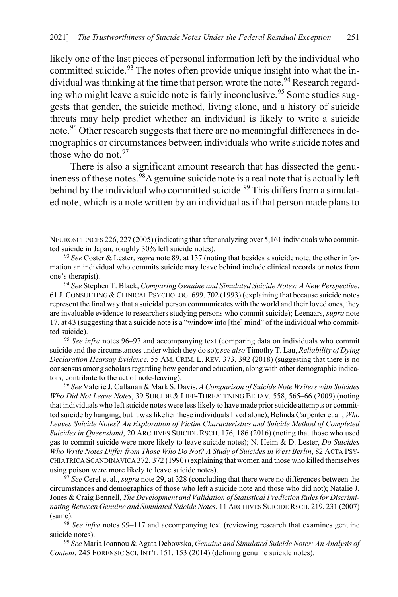<span id="page-17-11"></span><span id="page-17-10"></span>likely one of the last pieces of personal information left by the individual who committed suicide.<sup>[93](#page-17-3)</sup> The notes often provide unique insight into what the in-dividual was thinking at the time that person wrote the note.<sup>[94](#page-17-4)</sup> Research regard-ing who might leave a suicide note is fairly inconclusive.<sup>[95](#page-17-5)</sup> Some studies suggests that gender, the suicide method, living alone, and a history of suicide threats may help predict whether an individual is likely to write a suicide note.<sup>[96](#page-17-6)</sup> Other research suggests that there are no meaningful differences in demographics or circumstances between individuals who write suicide notes and those who do not.<sup>[97](#page-17-7)</sup>

<span id="page-17-2"></span><span id="page-17-1"></span><span id="page-17-0"></span>There is also a significant amount research that has dissected the genuineness of these notes.<sup>98</sup>A genuine suicide note is a real note that is actually left behind by the individual who committed suicide.<sup>[99](#page-17-9)</sup> This differs from a simulated note, which is a note written by an individual as if that person made plans to

 $\overline{a}$ 

<span id="page-17-5"></span><sup>95</sup> *See infra* note[s 96](#page-17-0)[–97](#page-17-1) and accompanying text (comparing data on individuals who commit suicide and the circumstances under which they do so); *see also* Timothy T. Lau, *Reliability of Dying Declaration Hearsay Evidence*, 55 AM. CRIM. L. REV. 373, 392 (2018) (suggesting that there is no consensus among scholars regarding how gender and education, along with other demographic indicators, contribute to the act of note-leaving). 96 *See* Valerie J. Callanan & Mark S. Davis, *A Comparison of Suicide Note Writers with Suicides* 

<span id="page-17-6"></span>*Who Did Not Leave Notes*, 39 SUICIDE & LIFE-THREATENING BEHAV. 558, 565–66 (2009) (noting that individuals who left suicide notes were less likely to have made prior suicide attempts or committed suicide by hanging, but it was likelier these individuals lived alone); Belinda Carpenter et al., *Who Leaves Suicide Notes? An Exploration of Victim Characteristics and Suicide Method of Completed Suicides in Queensland*, 20 ARCHIVES SUICIDE RSCH. 176, 186 (2016) (noting that those who used gas to commit suicide were more likely to leave suicide notes); N. Heim & D. Lester, *Do Suicides Who Write Notes Differ from Those Who Do Not? A Study of Suicides in West Berlin*, 82 ACTA PSY-CHIATRICA SCANDINAVICA 372, 372 (1990) (explaining that women and those who killed themselves using poison were more likely to leave suicide notes).

<span id="page-17-7"></span><sup>97</sup> *See* Cerel et al., *supra* not[e 29,](#page-6-9) at 328 (concluding that there were no differences between the circumstances and demographics of those who left a suicide note and those who did not); Natalie J. Jones & Craig Bennell, *The Development and Validation of Statistical Prediction Rules for Discriminating Between Genuine and Simulated Suicide Notes*, 11 ARCHIVES SUICIDE RSCH. 219, 231 (2007) (same).

<span id="page-17-8"></span><sup>98</sup> *See infra* notes [99–](#page-17-2)[117](#page-21-0) and accompanying text (reviewing research that examines genuine suicide notes).

<span id="page-17-9"></span><sup>99</sup> *See* Maria Ioannou & Agata Debowska, *Genuine and Simulated Suicide Notes: An Analysis of Content*, 245 FORENSIC SCI. INT'L 151, 153 (2014) (defining genuine suicide notes).

NEUROSCIENCES 226, 227 (2005) (indicating that after analyzing over 5,161 individuals who committed suicide in Japan, roughly 30% left suicide notes).

<span id="page-17-3"></span><sup>93</sup> *See* Coster & Lester, *supra* not[e 89,](#page-16-8) at 137 (noting that besides a suicide note, the other information an individual who commits suicide may leave behind include clinical records or notes from one's therapist).

<span id="page-17-4"></span><sup>94</sup> *See* Stephen T. Black, *Comparing Genuine and Simulated Suicide Notes: A New Perspective*, 61 J. CONSULTING & CLINICAL PSYCHOLOG. 699, 702 (1993) (explaining that because suicide notes represent the final way that a suicidal person communicates with the world and their loved ones, they are invaluable evidence to researchers studying persons who commit suicide); Leenaars, *supra* note [17,](#page-4-4) at 43 (suggesting that a suicide note is a "window into [the] mind" of the individual who committed suicide).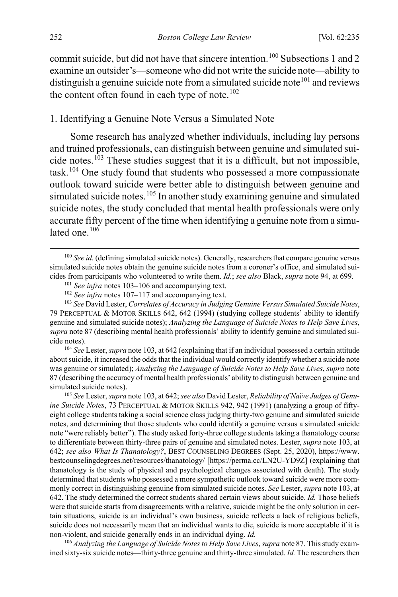commit suicide, but did not have that sincere intention.<sup>[100](#page-18-2)</sup> Subsections 1 and 2 examine an outsider's—someone who did not write the suicide note—ability to distinguish a genuine suicide note from a simulated suicide note<sup>[101](#page-18-3)</sup> and reviews the content often found in each type of note. $102$ 

#### 1. Identifying a Genuine Note Versus a Simulated Note

<span id="page-18-0"></span>Some research has analyzed whether individuals, including lay persons and trained professionals, can distinguish between genuine and simulated suicide notes.[103](#page-18-5) These studies suggest that it is a difficult, but not impossible, task.[104](#page-18-6) One study found that students who possessed a more compassionate outlook toward suicide were better able to distinguish between genuine and simulated suicide notes.<sup>[105](#page-18-7)</sup> In another study examining genuine and simulated suicide notes, the study concluded that mental health professionals were only accurate fifty percent of the time when identifying a genuine note from a simulated one. $106$ 

<span id="page-18-5"></span><span id="page-18-4"></span><span id="page-18-3"></span><sup>103</sup> *See* David Lester, *Correlates of Accuracy in Judging Genuine Versus Simulated Suicide Notes*, 79 PERCEPTUAL & MOTOR SKILLS 642, 642 (1994) (studying college students' ability to identify genuine and simulated suicide notes); *Analyzing the Language of Suicide Notes to Help Save Lives*, *supra* not[e 87](#page-16-9) (describing mental health professionals' ability to identify genuine and simulated suicide notes).

<span id="page-18-6"></span><sup>104</sup> *See* Lester, *supra* not[e 103,](#page-18-0) at 642 (explaining that if an individual possessed a certain attitude about suicide, it increased the odds that the individual would correctly identify whether a suicide note was genuine or simulated); *Analyzing the Language of Suicide Notes to Help Save Lives*, *supra* note [87 \(](#page-16-9)describing the accuracy of mental health professionals' ability to distinguish between genuine and simulated suicide notes).

<span id="page-18-7"></span>105 *See* Lester, *supra* not[e 103,](#page-18-0) at 642; *see also* David Lester, *Reliability of Naïve Judges of Genuine Suicide Notes*, 73 PERCEPTUAL & MOTOR SKILLS 942, 942 (1991) (analyzing a group of fiftyeight college students taking a social science class judging thirty-two genuine and simulated suicide notes, and determining that those students who could identify a genuine versus a simulated suicide note "were reliably better"). The study asked forty-three college students taking a thanatology course to differentiate between thirty-three pairs of genuine and simulated notes. Lester, *supra* not[e 103,](#page-18-0) at 642; *see also What Is Thanatology?*, BEST COUNSELING DEGREES (Sept. 25, 2020), https://www. bestcounselingdegrees.net/resources/thanatology/ [https://perma.cc/LN2U-YD9Z] (explaining that thanatology is the study of physical and psychological changes associated with death). The study determined that students who possessed a more sympathetic outlook toward suicide were more commonly correct in distinguishing genuine from simulated suicide notes. *See* Lester, *supra* not[e 103,](#page-18-0) at 642. The study determined the correct students shared certain views about suicide. *Id.* Those beliefs were that suicide starts from disagreements with a relative, suicide might be the only solution in certain situations, suicide is an individual's own business, suicide reflects a lack of religious beliefs, suicide does not necessarily mean that an individual wants to die, suicide is more acceptable if it is non-violent, and suicide generally ends in an individual dying. *Id.*

<span id="page-18-8"></span><sup>106</sup> *Analyzing the Language of Suicide Notes to Help Save Lives*, *supra* not[e 87.](#page-16-9) This study examined sixty-six suicide notes—thirty-three genuine and thirty-three simulated. *Id.* The researchers then

<span id="page-18-2"></span><span id="page-18-1"></span><sup>&</sup>lt;sup>100</sup> *See id.* (defining simulated suicide notes). Generally, researchers that compare genuine versus simulated suicide notes obtain the genuine suicide notes from a coroner's office, and simulated suicides from participants who volunteered to write them. *Id.*; *see also* Black, *supra* note [94,](#page-17-10) at 699.

<sup>101</sup> *See infra* notes [103–](#page-18-0)[106](#page-18-1) and accompanying text.

<sup>102</sup> *See infra* notes [107–](#page-19-0)[117](#page-21-0) and accompanying text.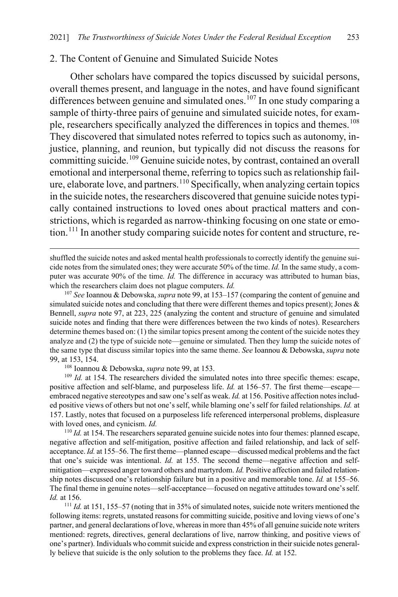### 2. The Content of Genuine and Simulated Suicide Notes

<span id="page-19-0"></span>Other scholars have compared the topics discussed by suicidal persons, overall themes present, and language in the notes, and have found significant differences between genuine and simulated ones.<sup>[107](#page-19-1)</sup> In one study comparing a sample of thirty-three pairs of genuine and simulated suicide notes, for exam-ple, researchers specifically analyzed the differences in topics and themes.<sup>[108](#page-19-2)</sup> They discovered that simulated notes referred to topics such as autonomy, injustice, planning, and reunion, but typically did not discuss the reasons for committing suicide.<sup>[109](#page-19-3)</sup> Genuine suicide notes, by contrast, contained an overall emotional and interpersonal theme, referring to topics such as relationship failure, elaborate love, and partners. $110$  Specifically, when analyzing certain topics in the suicide notes, the researchers discovered that genuine suicide notes typically contained instructions to loved ones about practical matters and constrictions, which is regarded as narrow-thinking focusing on one state or emo-tion.<sup>[111](#page-19-5)</sup> In another study comparing suicide notes for content and structure, re-

<span id="page-19-1"></span><sup>107</sup> *See* Ioannou & Debowska, *supra* not[e 99,](#page-17-2) at 153–157 (comparing the content of genuine and simulated suicide notes and concluding that there were different themes and topics present); Jones  $\&$ Bennell, *supra* note [97,](#page-17-1) at 223, 225 (analyzing the content and structure of genuine and simulated suicide notes and finding that there were differences between the two kinds of notes). Researchers determine themes based on: (1) the similar topics present among the content of the suicide notes they analyze and (2) the type of suicide note—genuine or simulated. Then they lump the suicide notes of the same type that discuss similar topics into the same theme. *See* Ioannou & Debowska, *supra* note [99,](#page-17-2) at 153, 154.

108 Ioannou & Debowska, *supra* not[e 99,](#page-17-2) at 153.

 $\overline{a}$ 

<span id="page-19-3"></span><span id="page-19-2"></span><sup>109</sup> *Id.* at 154. The researchers divided the simulated notes into three specific themes: escape, positive affection and self-blame, and purposeless life. *Id.* at 156–57. The first theme—escape embraced negative stereotypes and saw one's self as weak. *Id.* at 156. Positive affection notes included positive views of others but not one's self, while blaming one's self for failed relationships. *Id.* at 157. Lastly, notes that focused on a purposeless life referenced interpersonal problems, displeasure with loved ones, and cynicism. *Id.*

<span id="page-19-4"></span><sup>110</sup> *Id.* at 154. The researchers separated genuine suicide notes into four themes: planned escape, negative affection and self-mitigation, positive affection and failed relationship, and lack of selfacceptance. *Id.* at 155–56. The first theme—planned escape—discussed medical problems and the fact that one's suicide was intentional. *Id.* at 155. The second theme—negative affection and selfmitigation—expressed anger toward others and martyrdom. *Id.* Positive affection and failed relationship notes discussed one's relationship failure but in a positive and memorable tone. *Id.* at 155–56. The final theme in genuine notes—self-acceptance—focused on negative attitudes toward one's self. *Id.* at 156.

<span id="page-19-5"></span><sup>111</sup> *Id.* at 151, 155–57 (noting that in 35% of simulated notes, suicide note writers mentioned the following items: regrets, unstated reasons for committing suicide, positive and loving views of one's partner, and general declarations of love, whereas in more than 45% of all genuine suicide note writers mentioned: regrets, directives, general declarations of live, narrow thinking, and positive views of one's partner). Individuals who commit suicide and express constriction in their suicide notes generally believe that suicide is the only solution to the problems they face. *Id.* at 152.

shuffled the suicide notes and asked mental health professionals to correctly identify the genuine suicide notes from the simulated ones; they were accurate 50% of the time. *Id.* In the same study, a computer was accurate 90% of the time*. Id.* The difference in accuracy was attributed to human bias, which the researchers claim does not plague computers. *Id.*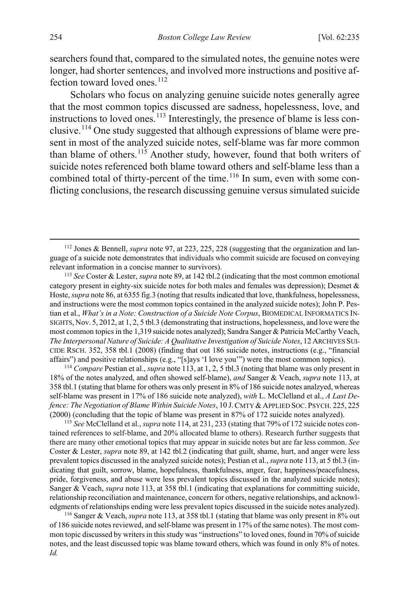searchers found that, compared to the simulated notes, the genuine notes were longer, had shorter sentences, and involved more instructions and positive af-fection toward loved ones.<sup>[112](#page-20-2)</sup>

<span id="page-20-1"></span><span id="page-20-0"></span>Scholars who focus on analyzing genuine suicide notes generally agree that the most common topics discussed are sadness, hopelessness, love, and instructions to loved ones.<sup>[113](#page-20-3)</sup> Interestingly, the presence of blame is less conclusive.[114](#page-20-4) One study suggested that although expressions of blame were present in most of the analyzed suicide notes, self-blame was far more common than blame of others.<sup>[115](#page-20-5)</sup> Another study, however, found that both writers of suicide notes referenced both blame toward others and self-blame less than a combined total of thirty-percent of the time.<sup>[116](#page-20-6)</sup> In sum, even with some conflicting conclusions, the research discussing genuine versus simulated suicide

<span id="page-20-4"></span><sup>114</sup> *Compare* Pestian et al., *supra* not[e 113,](#page-20-0) at 1, 2, 5 tbl.3 (noting that blame was only present in 18% of the notes analyzed, and often showed self-blame), *and* Sanger & Veach, *supra* note [113,](#page-20-0) at 358 tbl.1 (stating that blame for others was only present in 8% of 186 suicide notes analzyed, whereas self-blame was present in 17% of 186 suicide note analyzed), *with* L. McClelland et al., *A Last Defence: The Negotiation of Blame Within Suicide Notes*, 10 J. CMTY & APPLIED SOC. PSYCH. 225, 225 (2000) (concluding that the topic of blame was present in 87% of 172 suicide notes analyzed).

<span id="page-20-5"></span><sup>115</sup> *See* McClelland et al., *supra* not[e 114,](#page-20-1) at 231, 233 (stating that 79% of 172 suicide notes contained references to self-blame, and 20% allocated blame to others). Research further suggests that there are many other emotional topics that may appear in suicide notes but are far less common. *See*  Coster & Lester, *supra* not[e 89,](#page-16-8) at 142 tbl.2 (indicating that guilt, shame, hurt, and anger were less prevalent topics discussed in the analyzed suicide notes); Pestian et al., *supra* not[e 113,](#page-20-0) at 5 tbl.3 (indicating that guilt, sorrow, blame, hopefulness, thankfulness, anger, fear, happiness/peacefulness, pride, forgiveness, and abuse were less prevalent topics discussed in the analyzed suicide notes); Sanger & Veach, *supra* not[e 113,](#page-20-0) at 358 tbl.1 (indicating that explanations for committing suicide, relationship reconciliation and maintenance, concern for others, negative relationships, and acknowledgments of relationships ending were less prevalent topics discussed in the suicide notes analyzed).

<span id="page-20-6"></span><sup>116</sup> Sanger & Veach, *supra* not[e 113,](#page-20-0) at 358 tbl.1 (stating that blame was only present in 8% out of 186 suicide notes reviewed, and self-blame was present in 17% of the same notes). The most common topic discussed by writers in this study was "instructions" to loved ones, found in 70% of suicide notes, and the least discussed topic was blame toward others, which was found in only 8% of notes. *Id.*

<span id="page-20-7"></span><span id="page-20-2"></span> <sup>112</sup> Jones & Bennell, *supra* not[e 97,](#page-17-1) at 223, 225, 228 (suggesting that the organization and language of a suicide note demonstrates that individuals who commit suicide are focused on conveying relevant information in a concise manner to survivors).

<span id="page-20-3"></span><sup>113</sup> *See* Coster & Lester, *supra* not[e 89,](#page-16-8) at 142 tbl.2 (indicating that the most common emotional category present in eighty-six suicide notes for both males and females was depression); Desmet & Hoste, *supra* not[e 86,](#page-16-0) at 6355 fig.3 (noting that results indicated that love, thankfulness, hopelessness, and instructions were the most common topics contained in the analyzed suicide notes); John P. Pestian et al., *What's in a Note: Construction of a Suicide Note Corpus*, BIOMEDICAL INFORMATICS IN-SIGHTS, Nov. 5, 2012, at 1, 2, 5 tbl.3 (demonstrating that instructions, hopelessness, and love were the most common topics in the 1,319 suicide notes analyzed); Sandra Sanger & Patricia McCarthy Veach, *The Interpersonal Nature of Suicide: A Qualitative Investigation of Suicide Notes*, 12 ARCHIVES SUI-CIDE RSCH. 352, 358 tbl.1 (2008) (finding that out 186 suicide notes, instructions (e.g., "financial affairs") and positive relationships (e.g., "[s]ays 'I love you'") were the most common topics).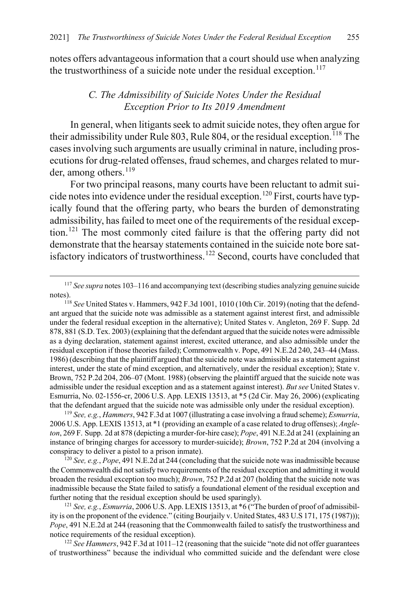notes offers advantageous information that a court should use when analyzing the trustworthiness of a suicide note under the residual exception. $117$ 

### <span id="page-21-1"></span><span id="page-21-0"></span>*C. The Admissibility of Suicide Notes Under the Residual Exception Prior to Its 2019 Amendment*

In general, when litigants seek to admit suicide notes, they often argue for their admissibility under Rule 803, Rule 804, or the residual exception.<sup>[118](#page-21-3)</sup> The cases involving such arguments are usually criminal in nature, including prosecutions for drug-related offenses, fraud schemes, and charges related to mur-der, among others.<sup>[119](#page-21-4)</sup>

For two principal reasons, many courts have been reluctant to admit sui-cide notes into evidence under the residual exception.<sup>[120](#page-21-5)</sup> First, courts have typically found that the offering party, who bears the burden of demonstrating admissibility, has failed to meet one of the requirements of the residual exception.[121](#page-21-6) The most commonly cited failure is that the offering party did not demonstrate that the hearsay statements contained in the suicide note bore sat-isfactory indicators of trustworthiness.<sup>[122](#page-21-7)</sup> Second, courts have concluded that

<span id="page-21-3"></span>ant argued that the suicide note was admissible as a statement against interest first, and admissible under the federal residual exception in the alternative); United States v. Angleton, 269 F. Supp. 2d 878, 881 (S.D. Tex. 2003) (explaining that the defendant argued that the suicide notes were admissible as a dying declaration, statement against interest, excited utterance, and also admissible under the residual exception if those theories failed); Commonwealth v. Pope, 491 N.E.2d 240, 243–44 (Mass. 1986) (describing that the plaintiff argued that the suicide note was admissible as a statement against interest, under the state of mind exception, and alternatively, under the residual exception); State v. Brown, 752 P.2d 204, 206–07 (Mont. 1988) (observing the plaintiff argued that the suicide note was admissible under the residual exception and as a statement against interest). *But see* United States v. Esmurria, No. 02-1556-cr, 2006 U.S. App. LEXIS 13513, at \*5 (2d Cir. May 26, 2006) (explicating that the defendant argued that the suicide note was admissible only under the residual exception).

<span id="page-21-4"></span><sup>119</sup> *See, e.g.*, *Hammers*, 942 F.3d at 1007 (illustrating a case involving a fraud scheme); *Esmurria*, 2006 U.S. App. LEXIS 13513, at \*1 (providing an example of a case related to drug offenses); *Angleton*, 269 F. Supp. 2d at 878 (depicting a murder-for-hire case); *Pope*, 491 N.E.2d at 241 (explaining an instance of bringing charges for accessory to murder-suicide); *Brown*, 752 P.2d at 204 (involving a conspiracy to deliver a pistol to a prison inmate).

<span id="page-21-5"></span><sup>120</sup> *See, e.g.*, *Pope*, 491 N.E.2d at 244 (concluding that the suicide note was inadmissible because the Commonwealth did not satisfy two requirements of the residual exception and admitting it would broaden the residual exception too much); *Brown*, 752 P.2d at 207 (holding that the suicide note was inadmissible because the State failed to satisfy a foundational element of the residual exception and further noting that the residual exception should be used sparingly).

<span id="page-21-6"></span><sup>121</sup> *See, e.g.*, *Esmurria*, 2006 U.S. App. LEXIS 13513, at \*6 ("The burden of proof of admissibility is on the proponent of the evidence." (citing Bourjaily v. United States, 483 U.S 171, 175 (1987))); *Pope*, 491 N.E.2d at 244 (reasoning that the Commonwealth failed to satisfy the trustworthiness and notice requirements of the residual exception).

<span id="page-21-7"></span><sup>122</sup> *See Hammers*, 942 F.3d at 1011–12 (reasoning that the suicide "note did not offer guarantees of trustworthiness" because the individual who committed suicide and the defendant were close

<span id="page-21-2"></span> <sup>117</sup> *See supra* notes [103](#page-18-0)[–116](#page-20-7) and accompanying text (describing studies analyzing genuine suicide notes). 118 *See* United States v. Hammers, 942 F.3d 1001, 1010 (10th Cir. 2019) (noting that the defend-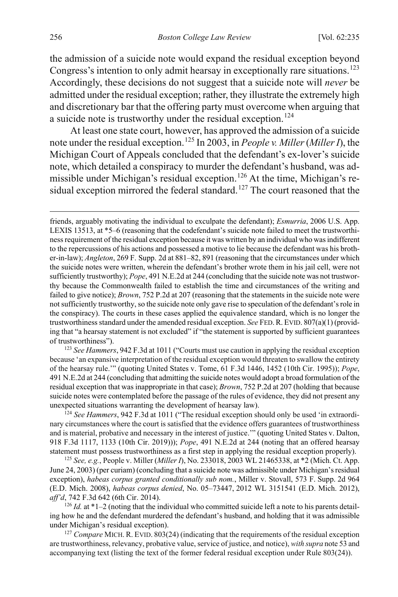the admission of a suicide note would expand the residual exception beyond Congress's intention to only admit hearsay in exceptionally rare situations.<sup>[123](#page-22-0)</sup> Accordingly, these decisions do not suggest that a suicide note will *never* be admitted under the residual exception; rather, they illustrate the extremely high and discretionary bar that the offering party must overcome when arguing that a suicide note is trustworthy under the residual exception.<sup>[124](#page-22-1)</sup>

At least one state court, however, has approved the admission of a suicide note under the residual exception.[125](#page-22-2) In 2003, in *People v. Miller* (*Miller I*), the Michigan Court of Appeals concluded that the defendant's ex-lover's suicide note, which detailed a conspiracy to murder the defendant's husband, was ad-missible under Michigan's residual exception.<sup>[126](#page-22-3)</sup> At the time, Michigan's re-sidual exception mirrored the federal standard.<sup>[127](#page-22-4)</sup> The court reasoned that the

<span id="page-22-0"></span><sup>123</sup> *See Hammers*, 942 F.3d at 1011 ("Courts must use caution in applying the residual exception because 'an expansive interpretation of the residual exception would threaten to swallow the entirety of the hearsay rule.'" (quoting United States v. Tome, 61 F.3d 1446, 1452 (10th Cir. 1995)); *Pope*, 491 N.E.2d at 244 (concluding that admitting the suicide notes would adopt a broad formulation of the residual exception that was inappropriate in that case); *Brown*, 752 P.2d at 207 (holding that because suicide notes were contemplated before the passage of the rules of evidence, they did not present any unexpected situations warranting the development of hearsay law).

<span id="page-22-1"></span><sup>124</sup> *See Hammers*, 942 F.3d at 1011 ("The residual exception should only be used 'in extraordinary circumstances where the court is satisfied that the evidence offers guarantees of trustworthiness and is material, probative and necessary in the interest of justice.'" (quoting United States v. Dalton, 918 F.3d 1117, 1133 (10th Cir. 2019))); *Pope*, 491 N.E.2d at 244 (noting that an offered hearsay statement must possess trustworthiness as a first step in applying the residual exception properly).

<span id="page-22-2"></span><sup>125</sup> *See, e.g.*, People v. Miller (*Miller I*), No. 233018, 2003 WL 21465338, at \*2 (Mich. Ct. App. June 24, 2003) (per curiam) (concluding that a suicide note was admissible under Michigan's residual exception), *habeas corpus granted conditionally sub nom.*, Miller v. Stovall, 573 F. Supp. 2d 964 (E.D. Mich. 2008), *habeas corpus denied*, No. 05–73447, 2012 WL 3151541 (E.D. Mich. 2012), *aff'd*, 742 F.3d 642 (6th Cir. 2014).

<span id="page-22-3"></span><sup>126</sup> *Id.* at  $*1-2$  (noting that the individual who committed suicide left a note to his parents detailing how he and the defendant murdered the defendant's husband, and holding that it was admissible under Michigan's residual exception).

<span id="page-22-4"></span><sup>127</sup> Compare MICH. R. EVID. 803(24) (indicating that the requirements of the residual exception are trustworthiness, relevancy, probative value, service of justice, and notice), *with supra* not[e 53](#page-9-6) and accompanying text (listing the text of the former federal residual exception under Rule 803(24)).

 $\overline{a}$ 

friends, arguably motivating the individual to exculpate the defendant); *Esmurria*, 2006 U.S. App. LEXIS 13513, at \*5–6 (reasoning that the codefendant's suicide note failed to meet the trustworthiness requirement of the residual exception because it was written by an individual who was indifferent to the repercussions of his actions and possessed a motive to lie because the defendant was his brother-in-law); *Angleton*, 269 F. Supp. 2d at 881–82, 891 (reasoning that the circumstances under which the suicide notes were written, wherein the defendant's brother wrote them in his jail cell, were not sufficiently trustworthy); *Pope*, 491 N.E.2d at 244 (concluding that the suicide note was not trustworthy because the Commonwealth failed to establish the time and circumstances of the writing and failed to give notice); *Brown*, 752 P.2d at 207 (reasoning that the statements in the suicide note were not sufficiently trustworthy, so the suicide note only gave rise to speculation of the defendant's role in the conspiracy). The courts in these cases applied the equivalence standard, which is no longer the trustworthiness standard under the amended residual exception. *See* FED.R. EVID. 807(a)(1) (providing that "a hearsay statement is not excluded" if "the statement is supported by sufficient guarantees of trustworthiness").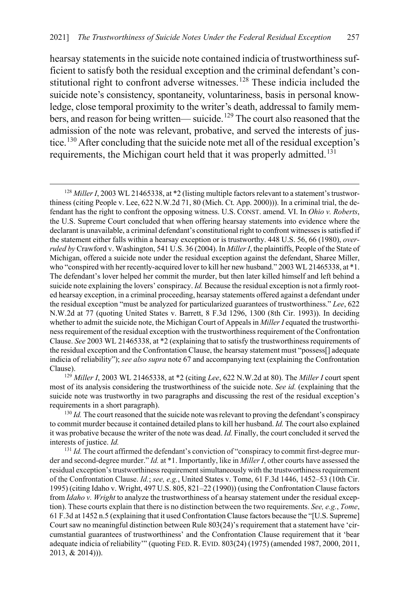hearsay statements in the suicide note contained indicia of trustworthiness sufficient to satisfy both the residual exception and the criminal defendant's con-stitutional right to confront adverse witnesses.<sup>[128](#page-23-0)</sup> These indicia included the suicide note's consistency, spontaneity, voluntariness, basis in personal knowledge, close temporal proximity to the writer's death, addressal to family mem-bers, and reason for being written— suicide.<sup>[129](#page-23-1)</sup> The court also reasoned that the admission of the note was relevant, probative, and served the interests of jus-tice.<sup>[130](#page-23-2)</sup> After concluding that the suicide note met all of the residual exception's requirements, the Michigan court held that it was properly admitted.<sup>[131](#page-23-3)</sup>

<span id="page-23-1"></span><sup>129</sup> *Miller I*, 2003 WL 21465338, at \*2 (citing *Lee*, 622 N.W.2d at 80). The *Miller I* court spent most of its analysis considering the trustworthiness of the suicide note. *See id.* (explaining that the suicide note was trustworthy in two paragraphs and discussing the rest of the residual exception's requirements in a short paragraph).

<span id="page-23-2"></span><sup>130</sup> *Id.* The court reasoned that the suicide note was relevant to proving the defendant's conspiracy to commit murder because it contained detailed plans to kill her husband. *Id.* The court also explained it was probative because the writer of the note was dead. *Id.* Finally, the court concluded it served the interests of justice. *Id.*

<span id="page-23-3"></span><sup>131</sup> *Id.* The court affirmed the defendant's conviction of "conspiracy to commit first-degree murder and second-degree murder." *Id.* at \*1. Importantly, like in *Miller I*, other courts have assessed the residual exception's trustworthiness requirement simultaneously with the trustworthiness requirement of the Confrontation Clause. *Id.*; *see, e.g.*, United States v. Tome, 61 F.3d 1446, 1452–53 (10th Cir. 1995) (citing Idaho v. Wright, 497 U.S. 805, 821–22 (1990)) (using the Confrontation Clause factors from *Idaho v. Wright* to analyze the trustworthiness of a hearsay statement under the residual exception). These courts explain that there is no distinction between the two requirements. *See, e.g.*, *Tome*, 61 F.3d at 1452 n.5 (explaining that it used Confrontation Clause factors because the "[U.S. Supreme] Court saw no meaningful distinction between Rule 803(24)'s requirement that a statement have 'circumstantial guarantees of trustworthiness' and the Confrontation Clause requirement that it 'bear adequate indicia of reliability'" (quoting FED. R. EVID. 803(24) (1975) (amended 1987, 2000, 2011, 2013, & 2014))).

<span id="page-23-0"></span> <sup>128</sup> *Miller I*, 2003 WL 21465338, at \*2 (listing multiple factors relevant to a statement's trustworthiness (citing People v. Lee, 622 N.W.2d 71, 80 (Mich. Ct. App. 2000))). In a criminal trial, the defendant has the right to confront the opposing witness. U.S. CONST. amend. VI. In *Ohio v. Roberts*, the U.S. Supreme Court concluded that when offering hearsay statements into evidence where the declarant is unavailable, a criminal defendant's constitutional right to confront witnesses is satisfied if the statement either falls within a hearsay exception or is trustworthy. 448 U.S. 56, 66 (1980), *overruled by* Crawford v. Washington, 541 U.S. 36 (2004). In *Miller I*, the plaintiffs, People of the State of Michigan, offered a suicide note under the residual exception against the defendant, Sharee Miller, who "conspired with her recently-acquired lover to kill her new husband." 2003 WL 21465338, at \*1. The defendant's lover helped her commit the murder, but then later killed himself and left behind a suicide note explaining the lovers' conspiracy. *Id.* Because the residual exception is not a firmly rooted hearsay exception, in a criminal proceeding, hearsay statements offered against a defendant under the residual exception "must be analyzed for particularized guarantees of trustworthiness." *Lee*, 622 N.W.2d at 77 (quoting United States v. Barrett, 8 F.3d 1296, 1300 (8th Cir. 1993)). In deciding whether to admit the suicide note, the Michigan Court of Appeals in *Miller I* equated the trustworthiness requirement of the residual exception with the trustworthiness requirement of the Confrontation Clause. *See* 2003 WL 21465338, at \*2 (explaining that to satisfy the trustworthiness requirements of the residual exception and the Confrontation Clause, the hearsay statement must "possess[] adequate indicia of reliability"); *see also supra* note [67 a](#page-13-6)nd accompanying text (explaining the Confrontation Clause).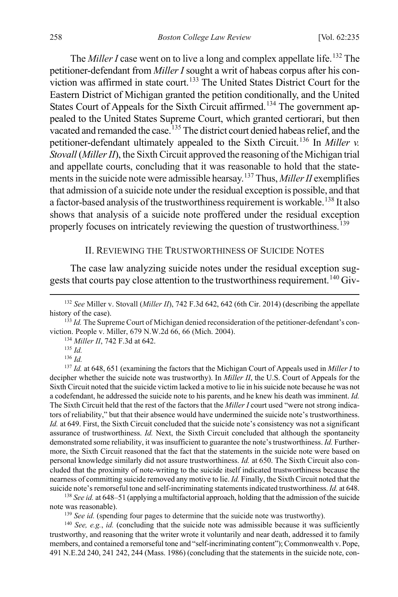The *Miller I* case went on to live a long and complex appellate life. [132](#page-24-2) The petitioner-defendant from *Miller I* sought a writ of habeas corpus after his con-viction was affirmed in state court.<sup>[133](#page-24-3)</sup> The United States District Court for the Eastern District of Michigan granted the petition conditionally, and the United States Court of Appeals for the Sixth Circuit affirmed.<sup>[134](#page-24-4)</sup> The government appealed to the United States Supreme Court, which granted certiorari, but then vacated and remanded the case.<sup>[135](#page-24-5)</sup> The district court denied habeas relief, and the petitioner-defendant ultimately appealed to the Sixth Circuit.[136](#page-24-6) In *Miller v. Stovall* (*Miller II*), the Sixth Circuit approved the reasoning of the Michigan trial and appellate courts, concluding that it was reasonable to hold that the statements in the suicide note were admissible hearsay.[137](#page-24-7) Thus, *Miller II* exemplifies that admission of a suicide note under the residual exception is possible, and that a factor-based analysis of the trustworthiness requirement is workable.<sup>[138](#page-24-8)</sup> It also shows that analysis of a suicide note proffered under the residual exception properly focuses on intricately reviewing the question of trustworthiness.<sup>[139](#page-24-9)</sup>

#### <span id="page-24-1"></span><span id="page-24-0"></span>II. REVIEWING THE TRUSTWORTHINESS OF SUICIDE NOTES

The case law analyzing suicide notes under the residual exception sug-gests that courts pay close attention to the trustworthiness requirement.<sup>[140](#page-24-10)</sup> Giv-

<sup>134</sup> *Miller II*, 742 F.3d at 642.

<span id="page-24-7"></span><span id="page-24-6"></span><span id="page-24-5"></span><sup>137</sup> *Id.* at 648, 651 (examining the factors that the Michigan Court of Appeals used in *Miller I* to decipher whether the suicide note was trustworthy). In *Miller II*, the U.S. Court of Appeals for the Sixth Circuit noted that the suicide victim lacked a motive to lie in his suicide note because he was not a codefendant, he addressed the suicide note to his parents, and he knew his death was imminent. *Id.* The Sixth Circuit held that the rest of the factors that the *Miller I* court used "were not strong indicators of reliability," but that their absence would have undermined the suicide note's trustworthiness. *Id.* at 649. First, the Sixth Circuit concluded that the suicide note's consistency was not a significant assurance of trustworthiness. *Id.* Next, the Sixth Circuit concluded that although the spontaneity demonstrated some reliability, it was insufficient to guarantee the note's trustworthiness. *Id.* Furthermore, the Sixth Circuit reasoned that the fact that the statements in the suicide note were based on personal knowledge similarly did not assure trustworthiness. *Id.* at 650. The Sixth Circuit also concluded that the proximity of note-writing to the suicide itself indicated trustworthiness because the nearness of committing suicide removed any motive to lie. *Id.* Finally, the Sixth Circuit noted that the suicide note's remorseful tone and self-incriminating statements indicated trustworthiness. *Id.* at 648.

<span id="page-24-8"></span><sup>138</sup> *See id.* at 648–51 (applying a multifactorial approach, holding that the admission of the suicide note was reasonable).

<sup>139</sup> *See id.* (spending four pages to determine that the suicide note was trustworthy).

<span id="page-24-10"></span><span id="page-24-9"></span><sup>140</sup> *See, e.g.*, *id.* (concluding that the suicide note was admissible because it was sufficiently trustworthy, and reasoning that the writer wrote it voluntarily and near death, addressed it to family members, and contained a remorseful tone and "self-incriminating content"); Commonwealth v. Pope, 491 N.E.2d 240, 241 242, 244 (Mass. 1986) (concluding that the statements in the suicide note, con-

<span id="page-24-2"></span> <sup>132</sup> *See* Miller v. Stovall (*Miller II*), 742 F.3d 642, 642 (6th Cir. 2014) (describing the appellate history of the case).

<span id="page-24-4"></span><span id="page-24-3"></span><sup>&</sup>lt;sup>133</sup> *Id.* The Supreme Court of Michigan denied reconsideration of the petitioner-defendant's conviction. People v. Miller, 679 N.W.2d 66, 66 (Mich. 2004).

<sup>135</sup> *Id.*

<sup>136</sup> *Id.*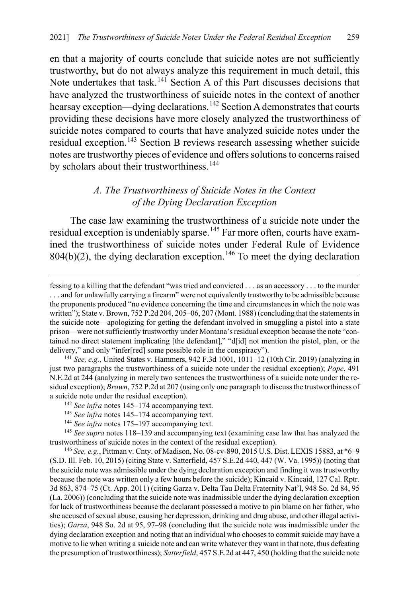en that a majority of courts conclude that suicide notes are not sufficiently trustworthy, but do not always analyze this requirement in much detail, this Note undertakes that task.<sup>[141](#page-25-1)</sup> Section A of this Part discusses decisions that have analyzed the trustworthiness of suicide notes in the context of another hearsay exception—dying declarations.<sup>[142](#page-25-2)</sup> Section A demonstrates that courts providing these decisions have more closely analyzed the trustworthiness of suicide notes compared to courts that have analyzed suicide notes under the residual exception.<sup>[143](#page-25-3)</sup> Section B reviews research assessing whether suicide notes are trustworthy pieces of evidence and offers solutions to concerns raised by scholars about their trustworthiness.<sup>[144](#page-25-4)</sup>

## <span id="page-25-0"></span>*A. The Trustworthiness of Suicide Notes in the Context of the Dying Declaration Exception*

The case law examining the trustworthiness of a suicide note under the residual exception is undeniably sparse.<sup>[145](#page-25-5)</sup> Far more often, courts have examined the trustworthiness of suicide notes under Federal Rule of Evidence  $804(b)(2)$ , the dying declaration exception.<sup>[146](#page-25-6)</sup> To meet the dying declaration

 $\overline{a}$ 

fessing to a killing that the defendant "was tried and convicted . . . as an accessory . . . to the murder . . . and for unlawfully carrying a firearm" were not equivalently trustworthy to be admissible because the proponents produced "no evidence concerning the time and circumstances in which the note was written"); State v. Brown, 752 P.2d 204, 205–06, 207 (Mont. 1988) (concluding that the statements in the suicide note—apologizing for getting the defendant involved in smuggling a pistol into a state prison—were not sufficiently trustworthy under Montana's residual exception because the note "contained no direct statement implicating [the defendant]," "d[id] not mention the pistol, plan, or the delivery," and only "infer[red] some possible role in the conspiracy").

<span id="page-25-1"></span><sup>141</sup> *See, e.g.*, United States v. Hammers, 942 F.3d 1001, 1011–12 (10th Cir. 2019) (analyzing in just two paragraphs the trustworthiness of a suicide note under the residual exception); *Pope*, 491 N.E.2d at 244 (analyzing in merely two sentences the trustworthiness of a suicide note under the residual exception); *Brown*, 752 P.2d at 207 (using only one paragraph to discuss the trustworthiness of a suicide note under the residual exception). 142 *See infra* notes [145–](#page-25-0)[174](#page-29-0) accompanying text.

<sup>143</sup> *See infra* notes [145–](#page-25-0)[174](#page-29-0) accompanying text.

<sup>&</sup>lt;sup>144</sup> See infra notes 175-[197](#page-33-1) accompanying text.

<span id="page-25-5"></span><span id="page-25-4"></span><span id="page-25-3"></span><span id="page-25-2"></span><sup>145</sup> *See supra* note[s 118](#page-21-1)[–139](#page-24-0) and accompanying text (examining case law that has analyzed the trustworthiness of suicide notes in the context of the residual exception).

<span id="page-25-6"></span><sup>146</sup> *See, e.g.*, Pittman v. Cnty. of Madison, No. 08-cv-890, 2015 U.S. Dist. LEXIS 15883, at \*6–9 (S.D. Ill. Feb. 10, 2015) (citing State v. Satterfield, 457 S.E.2d 440, 447 (W. Va. 1995)) (noting that the suicide note was admissible under the dying declaration exception and finding it was trustworthy because the note was written only a few hours before the suicide); Kincaid v. Kincaid, 127 Cal. Rptr. 3d 863, 874–75 (Ct. App. 2011) (citing Garza v. Delta Tau Delta Fraternity Nat'l, 948 So. 2d 84, 95 (La. 2006)) (concluding that the suicide note was inadmissible under the dying declaration exception for lack of trustworthiness because the declarant possessed a motive to pin blame on her father, who she accused of sexual abuse, causing her depression, drinking and drug abuse, and other illegal activities); *Garza*, 948 So. 2d at 95, 97–98 (concluding that the suicide note was inadmissible under the dying declaration exception and noting that an individual who chooses to commit suicide may have a motive to lie when writing a suicide note and can write whatever they want in that note, thus defeating the presumption of trustworthiness); *Satterfield*, 457 S.E.2d at 447, 450 (holding that the suicide note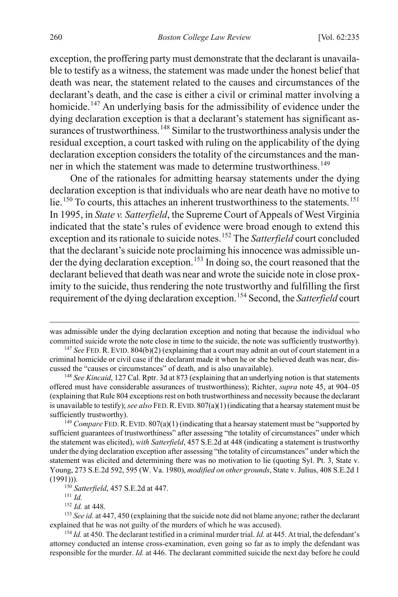exception, the proffering party must demonstrate that the declarant is unavailable to testify as a witness, the statement was made under the honest belief that death was near, the statement related to the causes and circumstances of the declarant's death, and the case is either a civil or criminal matter involving a homicide.<sup>[147](#page-26-0)</sup> An underlying basis for the admissibility of evidence under the dying declaration exception is that a declarant's statement has significant as-surances of trustworthiness.<sup>[148](#page-26-1)</sup> Similar to the trustworthiness analysis under the residual exception, a court tasked with ruling on the applicability of the dying declaration exception considers the totality of the circumstances and the man-ner in which the statement was made to determine trustworthiness.<sup>[149](#page-26-2)</sup>

One of the rationales for admitting hearsay statements under the dying declaration exception is that individuals who are near death have no motive to lie.<sup>[150](#page-26-3)</sup> To courts, this attaches an inherent trustworthiness to the statements.<sup>[151](#page-26-4)</sup> In 1995, in *State v. Satterfield*, the Supreme Court of Appeals of West Virginia indicated that the state's rules of evidence were broad enough to extend this exception and its rationale to suicide notes.[152](#page-26-5) The *Satterfield* court concluded that the declarant's suicide note proclaiming his innocence was admissible un-der the dying declaration exception.<sup>[153](#page-26-6)</sup> In doing so, the court reasoned that the declarant believed that death was near and wrote the suicide note in close proximity to the suicide, thus rendering the note trustworthy and fulfilling the first requirement of the dying declaration exception.[154](#page-26-7) Second, the *Satterfield* court

 $\overline{a}$ 

<span id="page-26-7"></span><sup>154</sup> *Id.* at 450. The declarant testified in a criminal murder trial. *Id.* at 445. At trial, the defendant's attorney conducted an intense cross-examination, even going so far as to imply the defendant was responsible for the murder. *Id.* at 446. The declarant committed suicide the next day before he could

was admissible under the dying declaration exception and noting that because the individual who committed suicide wrote the note close in time to the suicide, the note was sufficiently trustworthy).

<span id="page-26-0"></span><sup>&</sup>lt;sup>147</sup> See FED. R. EVID. 804(b)(2) (explaining that a court may admit an out of court statement in a criminal homicide or civil case if the declarant made it when he or she believed death was near, discussed the "causes or circumstances" of death, and is also unavailable).

<span id="page-26-1"></span><sup>148</sup> *See Kincaid*, 127 Cal. Rptr. 3d at 873 (explaining that an underlying notion is that statements offered must have considerable assurances of trustworthiness); Richter, *supra* note [45,](#page-8-1) at 904–05 (explaining that Rule 804 exceptions rest on both trustworthiness and necessity because the declarant is unavailable to testify); *see also* FED.R.EVID. 807(a)(1) (indicating that a hearsay statement must be sufficiently trustworthy). 149 *Compare* FED.R. EVID. 807(a)(1) (indicating that a hearsay statement must be "supported by

<span id="page-26-2"></span>sufficient guarantees of trustworthiness" after assessing "the totality of circumstances" under which the statement was elicited), *with Satterfield*, 457 S.E.2d at 448 (indicating a statement is trustworthy under the dying declaration exception after assessing "the totality of circumstances" under which the statement was elicited and determining there was no motivation to lie (quoting Syl. Pt. 3, State v. Young, 273 S.E.2d 592, 595 (W. Va. 1980), *modified on other grounds*, State v. Julius, 408 S.E.2d 1 (1991))). 150 *Satterfield*, 457 S.E.2d at 447.

<sup>151</sup> *Id.*

<sup>152</sup> *Id.* at 448.

<span id="page-26-6"></span><span id="page-26-5"></span><span id="page-26-4"></span><span id="page-26-3"></span><sup>153</sup> *See id.* at 447, 450 (explaining that the suicide note did not blame anyone; rather the declarant explained that he was not guilty of the murders of which he was accused).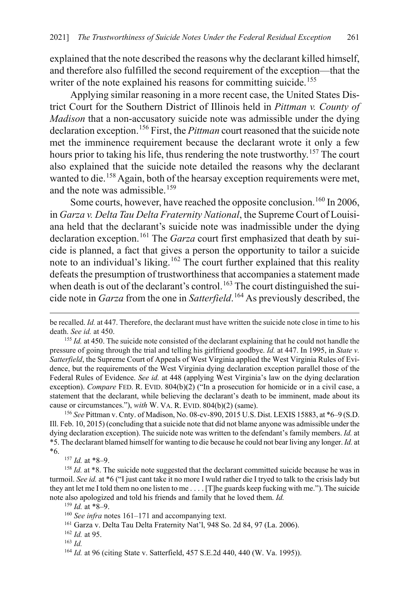explained that the note described the reasons why the declarant killed himself, and therefore also fulfilled the second requirement of the exception—that the writer of the note explained his reasons for committing suicide.<sup>[155](#page-27-1)</sup>

Applying similar reasoning in a more recent case, the United States District Court for the Southern District of Illinois held in *Pittman v. County of Madison* that a non-accusatory suicide note was admissible under the dying declaration exception.[156](#page-27-2) First, the *Pittman* court reasoned that the suicide note met the imminence requirement because the declarant wrote it only a few hours prior to taking his life, thus rendering the note trustworthy.<sup>[157](#page-27-3)</sup> The court also explained that the suicide note detailed the reasons why the declarant wanted to die.<sup>[158](#page-27-4)</sup> Again, both of the hearsay exception requirements were met, and the note was admissible.[159](#page-27-5)

<span id="page-27-0"></span>Some courts, however, have reached the opposite conclusion.<sup>[160](#page-27-6)</sup> In 2006, in *Garza v. Delta Tau Delta Fraternity National*, the Supreme Court of Louisiana held that the declarant's suicide note was inadmissible under the dying declaration exception.<sup>[161](#page-27-7)</sup> The *Garza* court first emphasized that death by suicide is planned, a fact that gives a person the opportunity to tailor a suicide note to an individual's liking.<sup>[162](#page-27-8)</sup> The court further explained that this reality defeats the presumption of trustworthiness that accompanies a statement made when death is out of the declarant's control.<sup>[163](#page-27-9)</sup> The court distinguished the suicide note in *Garza* from the one in *Satterfield*. [164](#page-27-10) As previously described, the

<span id="page-27-2"></span><sup>156</sup> *See* Pittman v. Cnty. of Madison, No. 08-cv-890, 2015 U.S. Dist. LEXIS 15883, at \*6–9 (S.D. Ill. Feb. 10, 2015) (concluding that a suicide note that did not blame anyone was admissible under the dying declaration exception). The suicide note was written to the defendant's family members. *Id.* at \*5. The declarant blamed himself for wanting to die because he could not bear living any longer. *Id.* at \*6.

<sup>157</sup> *Id.* at \*8–9.

 $\overline{a}$ 

<sup>159</sup> *Id.* at \*8–9.

<span id="page-27-8"></span><sup>162</sup> *Id.* at 95.

be recalled. *Id.* at 447. Therefore, the declarant must have written the suicide note close in time to his death. *See id.* at 450.

<span id="page-27-1"></span><sup>&</sup>lt;sup>155</sup> *Id.* at 450. The suicide note consisted of the declarant explaining that he could not handle the pressure of going through the trial and telling his girlfriend goodbye. *Id.* at 447. In 1995, in *State v. Satterfield*, the Supreme Court of Appeals of West Virginia applied the West Virginia Rules of Evidence, but the requirements of the West Virginia dying declaration exception parallel those of the Federal Rules of Evidence. *See id.* at 448 (applying West Virginia's law on the dying declaration exception). *Compare* FED. R. EVID. 804(b)(2) ("In a prosecution for homicide or in a civil case, a statement that the declarant, while believing the declarant's death to be imminent, made about its cause or circumstances."), *with* W. VA. R. EVID. 804(b)(2) (same).

<span id="page-27-5"></span><span id="page-27-4"></span><span id="page-27-3"></span><sup>&</sup>lt;sup>158</sup> *Id.* at \*8. The suicide note suggested that the declarant committed suicide because he was in turmoil. *See id.* at \*6 ("I just cant take it no more I wuld rather die I tryed to talk to the crisis lady but they ant let me I told them no one listen to me . . . . [T]he guards keep fucking with me."). The suicide note also apologized and told his friends and family that he loved them. *Id.*

<span id="page-27-6"></span><sup>160</sup> *See infra* notes [161–](#page-27-0)[171](#page-28-0) and accompanying text.

<span id="page-27-7"></span><sup>161</sup> Garza v. Delta Tau Delta Fraternity Nat'l, 948 So. 2d 84, 97 (La. 2006).

<span id="page-27-9"></span><sup>163</sup> *Id.*

<span id="page-27-10"></span><sup>164</sup> *Id.* at 96 (citing State v. Satterfield, 457 S.E.2d 440, 440 (W. Va. 1995)).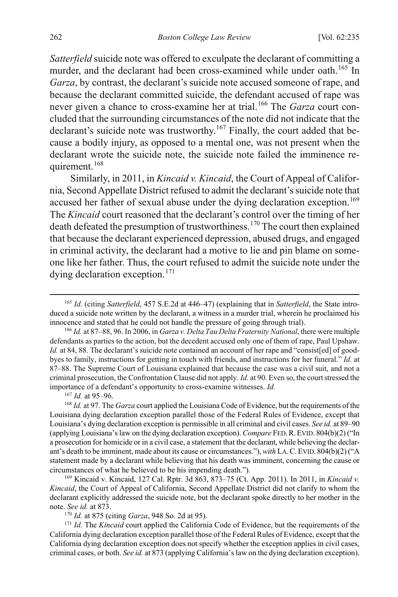*Satterfield* suicide note was offered to exculpate the declarant of committing a murder, and the declarant had been cross-examined while under oath.<sup>[165](#page-28-1)</sup> In *Garza*, by contrast, the declarant's suicide note accused someone of rape, and because the declarant committed suicide, the defendant accused of rape was never given a chance to cross-examine her at trial.[166](#page-28-2) The *Garza* court concluded that the surrounding circumstances of the note did not indicate that the declarant's suicide note was trustworthy.<sup>[167](#page-28-3)</sup> Finally, the court added that because a bodily injury, as opposed to a mental one, was not present when the declarant wrote the suicide note, the suicide note failed the imminence re-quirement.<sup>[168](#page-28-4)</sup>

Similarly, in 2011, in *Kincaid v. Kincaid*, the Court of Appeal of California, Second Appellate District refused to admit the declarant's suicide note that accused her father of sexual abuse under the dying declaration exception.<sup>[169](#page-28-5)</sup> The *Kincaid* court reasoned that the declarant's control over the timing of her death defeated the presumption of trustworthiness.<sup>[170](#page-28-6)</sup> The court then explained that because the declarant experienced depression, abused drugs, and engaged in criminal activity, the declarant had a motive to lie and pin blame on someone like her father. Thus, the court refused to admit the suicide note under the dying declaration exception.<sup>[171](#page-28-7)</sup>

<sup>167</sup> *Id.* at 95–96.

<span id="page-28-4"></span><span id="page-28-3"></span><sup>168</sup> *Id.* at 97. The *Garza* court applied the Louisiana Code of Evidence, but the requirements of the Louisiana dying declaration exception parallel those of the Federal Rules of Evidence, except that Louisiana's dying declaration exception is permissible in all criminal and civil cases. *See id.* at 89–90 (applying Louisiana's law on the dying declaration exception). *Compare* FED.R.EVID. 804(b)(2) ("In a prosecution for homicide or in a civil case, a statement that the declarant, while believing the declarant's death to be imminent, made about its cause or circumstances."), *with* LA.C.EVID. 804(b)(2) ("A statement made by a declarant while believing that his death was imminent, concerning the cause or circumstances of what he believed to be his impending death.").

<span id="page-28-5"></span>169 Kincaid v. Kincaid, 127 Cal. Rptr. 3d 863, 873–75 (Ct. App. 2011). In 2011, in *Kincaid v. Kincaid*, the Court of Appeal of California, Second Appellate District did not clarify to whom the declarant explicitly addressed the suicide note, but the declarant spoke directly to her mother in the note. *See id.* at 873.

<sup>170</sup> *Id.* at 875 (citing *Garza*, 948 So. 2d at 95).

<span id="page-28-7"></span><span id="page-28-6"></span><sup>171</sup> *Id.* The *Kincaid* court applied the California Code of Evidence, but the requirements of the California dying declaration exception parallel those of the Federal Rules of Evidence, except that the California dying declaration exception does not specify whether the exception applies in civil cases, criminal cases, or both. *See id.* at 873 (applying California's law on the dying declaration exception).

<span id="page-28-2"></span><span id="page-28-1"></span><span id="page-28-0"></span> <sup>165</sup> *Id.* (citing *Satterfield*, 457 S.E.2d at 446–47) (explaining that in *Satterfield*, the State introduced a suicide note written by the declarant, a witness in a murder trial, wherein he proclaimed his innocence and stated that he could not handle the pressure of going through trial).

<sup>166</sup> *Id.* at 87–88, 96. In 2006, in *Garza v. Delta Tau Delta Fraternity National*, there were multiple defendants as parties to the action, but the decedent accused only one of them of rape, Paul Upshaw. *Id.* at 84, 88. The declarant's suicide note contained an account of her rape and "consist[ed] of goodbyes to family, instructions for getting in touch with friends, and instructions for her funeral." *Id.* at 87–88. The Supreme Court of Louisiana explained that because the case was a civil suit, and not a criminal prosecution, the Confrontation Clause did not apply. *Id.* at 90. Even so, the court stressed the importance of a defendant's opportunity to cross-examine witnesses. *Id.*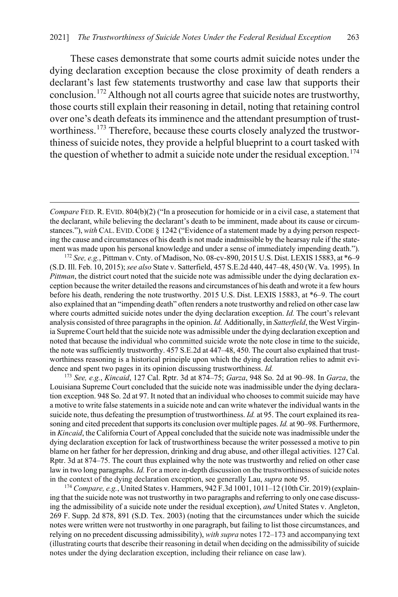<span id="page-29-2"></span><span id="page-29-1"></span>These cases demonstrate that some courts admit suicide notes under the dying declaration exception because the close proximity of death renders a declarant's last few statements trustworthy and case law that supports their conclusion.[172](#page-29-3) Although not all courts agree that suicide notes are trustworthy, those courts still explain their reasoning in detail, noting that retaining control over one's death defeats its imminence and the attendant presumption of trust-worthiness.<sup>[173](#page-29-4)</sup> Therefore, because these courts closely analyzed the trustworthiness of suicide notes, they provide a helpful blueprint to a court tasked with the question of whether to admit a suicide note under the residual exception.<sup>[174](#page-29-5)</sup>

<span id="page-29-0"></span> $\overline{a}$ 

<span id="page-29-4"></span><sup>173</sup> *See, e.g.*, *Kincaid*, 127 Cal. Rptr. 3d at 874–75; *Garza*, 948 So. 2d at 90–98. In *Garza*, the Louisiana Supreme Court concluded that the suicide note was inadmissible under the dying declaration exception. 948 So. 2d at 97. It noted that an individual who chooses to commit suicide may have a motive to write false statements in a suicide note and can write whatever the individual wants in the suicide note, thus defeating the presumption of trustworthiness. *Id.* at 95. The court explained its reasoning and cited precedent that supports its conclusion over multiple pages. *Id.* at 90–98. Furthermore, in *Kincaid*, the California Court of Appeal concluded that the suicide note was inadmissible under the dying declaration exception for lack of trustworthiness because the writer possessed a motive to pin blame on her father for her depression, drinking and drug abuse, and other illegal activities. 127 Cal. Rptr. 3d at 874–75. The court thus explained why the note was trustworthy and relied on other case law in two long paragraphs. *Id.* For a more in-depth discussion on the trustworthiness of suicide notes in the context of the dying declaration exception, see generally Lau, *supra* not[e 95.](#page-17-11)

<span id="page-29-5"></span><sup>174</sup> *Compare, e.g.*, United States v. Hammers, 942 F.3d 1001, 1011–12 (10th Cir. 2019) (explaining that the suicide note was not trustworthy in two paragraphs and referring to only one case discussing the admissibility of a suicide note under the residual exception), *and* United States v. Angleton, 269 F. Supp. 2d 878, 891 (S.D. Tex. 2003) (noting that the circumstances under which the suicide notes were written were not trustworthy in one paragraph, but failing to list those circumstances, and relying on no precedent discussing admissibility), *with supra* note[s 172–](#page-29-1)[173](#page-29-2) and accompanying text (illustrating courts that describe their reasoning in detail when deciding on the admissibility of suicide notes under the dying declaration exception, including their reliance on case law).

*Compare* FED. R. EVID. 804(b)(2) ("In a prosecution for homicide or in a civil case, a statement that the declarant, while believing the declarant's death to be imminent, made about its cause or circumstances."), *with* CAL. EVID.CODE § 1242 ("Evidence of a statement made by a dying person respecting the cause and circumstances of his death is not made inadmissible by the hearsay rule if the statement was made upon his personal knowledge and under a sense of immediately impending death.").

<span id="page-29-3"></span><sup>172</sup> *See, e.g.*, Pittman v. Cnty. of Madison, No. 08-cv-890, 2015 U.S. Dist. LEXIS 15883, at \*6–9 (S.D. Ill. Feb. 10, 2015); *see also* State v. Satterfield, 457 S.E.2d 440, 447–48, 450 (W. Va. 1995). In *Pittman*, the district court noted that the suicide note was admissible under the dying declaration exception because the writer detailed the reasons and circumstances of his death and wrote it a few hours before his death, rendering the note trustworthy. 2015 U.S. Dist. LEXIS 15883, at \*6–9. The court also explained that an "impending death" often renders a note trustworthy and relied on other case law where courts admitted suicide notes under the dying declaration exception. *Id.* The court's relevant analysis consisted of three paragraphs in the opinion. *Id.* Additionally, in *Satterfield*, the West Virginia Supreme Court held that the suicide note was admissible under the dying declaration exception and noted that because the individual who committed suicide wrote the note close in time to the suicide, the note was sufficiently trustworthy. 457 S.E.2d at 447–48, 450. The court also explained that trustworthiness reasoning is a historical principle upon which the dying declaration relies to admit evidence and spent two pages in its opinion discussing trustworthiness. *Id.*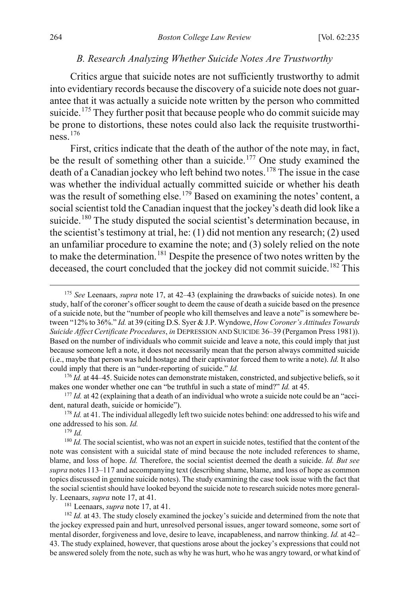#### *B. Research Analyzing Whether Suicide Notes Are Trustworthy*

<span id="page-30-0"></span>Critics argue that suicide notes are not sufficiently trustworthy to admit into evidentiary records because the discovery of a suicide note does not guarantee that it was actually a suicide note written by the person who committed suicide.<sup>[175](#page-30-1)</sup> They further posit that because people who do commit suicide may be prone to distortions, these notes could also lack the requisite trustworthiness.[176](#page-30-2)

First, critics indicate that the death of the author of the note may, in fact, be the result of something other than a suicide.<sup>[177](#page-30-3)</sup> One study examined the death of a Canadian jockey who left behind two notes.<sup>[178](#page-30-4)</sup> The issue in the case was whether the individual actually committed suicide or whether his death was the result of something else.<sup>[179](#page-30-5)</sup> Based on examining the notes' content, a social scientist told the Canadian inquest that the jockey's death did look like a suicide.<sup>[180](#page-30-6)</sup> The study disputed the social scientist's determination because, in the scientist's testimony at trial, he: (1) did not mention any research; (2) used an unfamiliar procedure to examine the note; and (3) solely relied on the note to make the determination.<sup>[181](#page-30-7)</sup> Despite the presence of two notes written by the deceased, the court concluded that the jockey did not commit suicide.<sup>[182](#page-30-8)</sup> This

<sup>179</sup> *Id.*

181 Leenaars, *supra* not[e 17,](#page-4-4) at 41.

<span id="page-30-8"></span><span id="page-30-7"></span><sup>182</sup> *Id.* at 43. The study closely examined the jockey's suicide and determined from the note that the jockey expressed pain and hurt, unresolved personal issues, anger toward someone, some sort of mental disorder, forgiveness and love, desire to leave, incapableness, and narrow thinking. *Id.* at 42– 43. The study explained, however, that questions arose about the jockey's expressions that could not be answered solely from the note, such as why he was hurt, who he was angry toward, or what kind of

<span id="page-30-1"></span> <sup>175</sup> *See* Leenaars, *supra* note [17,](#page-4-4) at 42–43 (explaining the drawbacks of suicide notes). In one study, half of the coroner's officer sought to deem the cause of death a suicide based on the presence of a suicide note, but the "number of people who kill themselves and leave a note" is somewhere between "12% to 36%." *Id.* at 39 (citing D.S. Syer & J.P. Wyndowe, *How Coroner's Attitudes Towards Suicide Affect Certificate Procedures*, *in* DEPRESSION AND SUICIDE 36–39 (Pergamon Press 1981)). Based on the number of individuals who commit suicide and leave a note, this could imply that just because someone left a note, it does not necessarily mean that the person always committed suicide (i.e., maybe that person was held hostage and their captivator forced them to write a note). *Id.* It also could imply that there is an "under-reporting of suicide." *Id.*

<span id="page-30-2"></span><sup>&</sup>lt;sup>176</sup> *Id.* at 44–45. Suicide notes can demonstrate mistaken, constricted, and subjective beliefs, so it makes one wonder whether one can "be truthful in such a state of mind?" *Id.* at 45.

<span id="page-30-3"></span><sup>&</sup>lt;sup>177</sup> *Id.* at 42 (explaining that a death of an individual who wrote a suicide note could be an "accident, natural death, suicide or homicide").

<span id="page-30-4"></span><sup>&</sup>lt;sup>178</sup> *Id.* at 41. The individual allegedly left two suicide notes behind: one addressed to his wife and one addressed to his son. *Id.*

<span id="page-30-6"></span><span id="page-30-5"></span><sup>&</sup>lt;sup>180</sup> *Id*. The social scientist, who was not an expert in suicide notes, testified that the content of the note was consistent with a suicidal state of mind because the note included references to shame, blame, and loss of hope. *Id.* Therefore, the social scientist deemed the death a suicide. *Id. But see supra* note[s 113](#page-20-0)[–117](#page-21-0) and accompanying text (describing shame, blame, and loss of hope as common topics discussed in genuine suicide notes). The study examining the case took issue with the fact that the social scientist should have looked beyond the suicide note to research suicide notes more generally. Leenaars, *supra* note [17,](#page-4-4) at 41.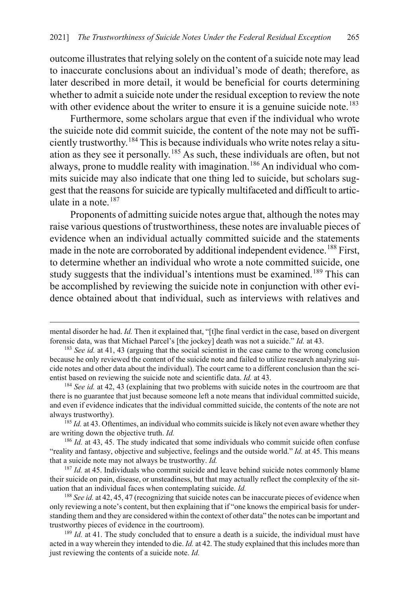outcome illustrates that relying solely on the content of a suicide note may lead to inaccurate conclusions about an individual's mode of death; therefore, as later described in more detail, it would be beneficial for courts determining whether to admit a suicide note under the residual exception to review the note with other evidence about the writer to ensure it is a genuine suicide note.<sup>[183](#page-31-0)</sup>

Furthermore, some scholars argue that even if the individual who wrote the suicide note did commit suicide, the content of the note may not be sufficiently trustworthy.[184](#page-31-1) This is because individuals who write notes relay a situation as they see it personally.[185](#page-31-2) As such, these individuals are often, but not always, prone to muddle reality with imagination.<sup>[186](#page-31-3)</sup> An individual who commits suicide may also indicate that one thing led to suicide, but scholars suggest that the reasons for suicide are typically multifaceted and difficult to articulate in a note. $187$ 

Proponents of admitting suicide notes argue that, although the notes may raise various questions of trustworthiness, these notes are invaluable pieces of evidence when an individual actually committed suicide and the statements made in the note are corroborated by additional independent evidence.<sup>[188](#page-31-5)</sup> First, to determine whether an individual who wrote a note committed suicide, one study suggests that the individual's intentions must be examined.<sup>[189](#page-31-6)</sup> This can be accomplished by reviewing the suicide note in conjunction with other evidence obtained about that individual, such as interviews with relatives and

 $\overline{a}$ 

<span id="page-31-2"></span><sup>185</sup> *Id.* at 43. Oftentimes, an individual who commits suicide is likely not even aware whether they are writing down the objective truth. *Id.*

<span id="page-31-3"></span><sup>186</sup> *Id.* at 43, 45. The study indicated that some individuals who commit suicide often confuse "reality and fantasy, objective and subjective, feelings and the outside world." *Id.* at 45. This means that a suicide note may not always be trustworthy. *Id.*

<span id="page-31-4"></span><sup>187</sup> *Id.* at 45. Individuals who commit suicide and leave behind suicide notes commonly blame their suicide on pain, disease, or unsteadiness, but that may actually reflect the complexity of the situation that an individual faces when contemplating suicide. *Id.*

<span id="page-31-5"></span><sup>188</sup> *See id.* at 42, 45, 47 (recognizing that suicide notes can be inaccurate pieces of evidence when only reviewing a note's content, but then explaining that if "one knows the empirical basis for understanding them and they are considered within the context of other data" the notes can be important and trustworthy pieces of evidence in the courtroom).

<span id="page-31-6"></span><sup>189</sup> *Id.* at 41. The study concluded that to ensure a death is a suicide, the individual must have acted in a way wherein they intended to die. *Id.* at 42. The study explained that this includes more than just reviewing the contents of a suicide note. *Id.*

mental disorder he had. *Id.* Then it explained that, "[t]he final verdict in the case, based on divergent forensic data, was that Michael Parcel's [the jockey] death was not a suicide." *Id.* at 43.

<span id="page-31-0"></span><sup>&</sup>lt;sup>183</sup> *See id.* at 41, 43 (arguing that the social scientist in the case came to the wrong conclusion because he only reviewed the content of the suicide note and failed to utilize research analyzing suicide notes and other data about the individual). The court came to a different conclusion than the scientist based on reviewing the suicide note and scientific data. *Id.* at 43.

<span id="page-31-1"></span><sup>184</sup> *See id.* at 42, 43 (explaining that two problems with suicide notes in the courtroom are that there is no guarantee that just because someone left a note means that individual committed suicide, and even if evidence indicates that the individual committed suicide, the contents of the note are not always trustworthy).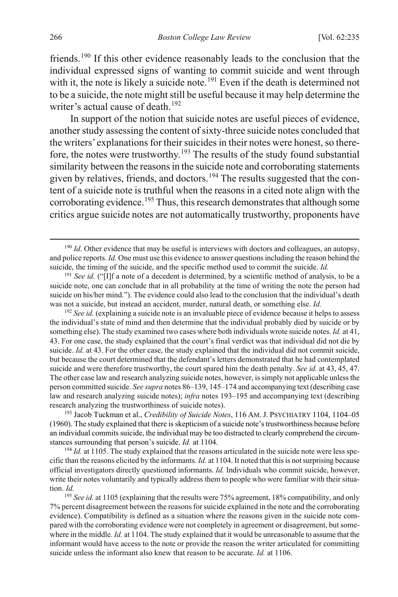friends.[190](#page-32-2) If this other evidence reasonably leads to the conclusion that the individual expressed signs of wanting to commit suicide and went through with it, the note is likely a suicide note.<sup>[191](#page-32-3)</sup> Even if the death is determined not to be a suicide, the note might still be useful because it may help determine the writer's actual cause of death.<sup>[192](#page-32-4)</sup>

<span id="page-32-0"></span>In support of the notion that suicide notes are useful pieces of evidence, another study assessing the content of sixty-three suicide notes concluded that the writers' explanations for their suicides in their notes were honest, so there-fore, the notes were trustworthy.<sup>[193](#page-32-5)</sup> The results of the study found substantial similarity between the reasons in the suicide note and corroborating statements given by relatives, friends, and doctors.<sup>[194](#page-32-6)</sup> The results suggested that the content of a suicide note is truthful when the reasons in a cited note align with the corroborating evidence.<sup>[195](#page-32-7)</sup> Thus, this research demonstrates that although some critics argue suicide notes are not automatically trustworthy, proponents have

<span id="page-32-5"></span><sup>193</sup> Jacob Tuckman et al., *Credibility of Suicide Notes*, 116 AM. J. PSYCHIATRY 1104, 1104–05 (1960). The study explained that there is skepticism of a suicide note's trustworthiness because before an individual commits suicide, the individual may be too distracted to clearly comprehend the circumstances surrounding that person's suicide. *Id.* at 1104.

<span id="page-32-6"></span><sup>194</sup> *Id.* at 1105. The study explained that the reasons articulated in the suicide note were less specific than the reasons elicited by the informants. *Id.* at 1104. It noted that this is not surprising because official investigators directly questioned informants. *Id.* Individuals who commit suicide, however, write their notes voluntarily and typically address them to people who were familiar with their situation. *Id.*

<span id="page-32-7"></span><sup>195</sup> See id. at 1105 (explaining that the results were 75% agreement, 18% compatibility, and only 7% percent disagreement between the reasons for suicide explained in the note and the corroborating evidence). Compatibility is defined as a situation where the reasons given in the suicide note compared with the corroborating evidence were not completely in agreement or disagreement, but somewhere in the middle. *Id.* at 1104. The study explained that it would be unreasonable to assume that the informant would have access to the note or provide the reason the writer articulated for committing suicide unless the informant also knew that reason to be accurate. *Id.* at 1106.

<span id="page-32-2"></span><span id="page-32-1"></span> $190$  *Id.* Other evidence that may be useful is interviews with doctors and colleagues, an autopsy, and police reports. *Id.* One must use this evidence to answer questions including the reason behind the suicide, the timing of the suicide, and the specific method used to commit the suicide. *Id.*

<span id="page-32-3"></span><sup>191</sup> *See id.* ("[I]f a note of a decedent is determined, by a scientific method of analysis, to be a suicide note, one can conclude that in all probability at the time of writing the note the person had suicide on his/her mind."). The evidence could also lead to the conclusion that the individual's death was not a suicide, but instead an accident, murder, natural death, or something else. *Id.*

<span id="page-32-4"></span><sup>192</sup> *See id.* (explaining a suicide note is an invaluable piece of evidence because it helps to assess the individual's state of mind and then determine that the individual probably died by suicide or by something else). The study examined two cases where both individuals wrote suicide notes. *Id.* at 41, 43. For one case, the study explained that the court's final verdict was that individual did not die by suicide. *Id.* at 43. For the other case, the study explained that the individual did not commit suicide, but because the court determined that the defendant's letters demonstrated that he had contemplated suicide and were therefore trustworthy, the court spared him the death penalty. *See id.* at 43, 45, 47. The other case law and research analyzing suicide notes, however, is simply not applicable unless the person committed suicide. *See supra* note[s 86](#page-16-0)[–139,](#page-24-0) [145](#page-25-0)[–174](#page-29-0) and accompanying text (describing case law and research analyzing suicide notes); *infra* notes [193–](#page-32-0)[195](#page-32-1) and accompanying text (describing research analyzing the trustworthiness of suicide notes).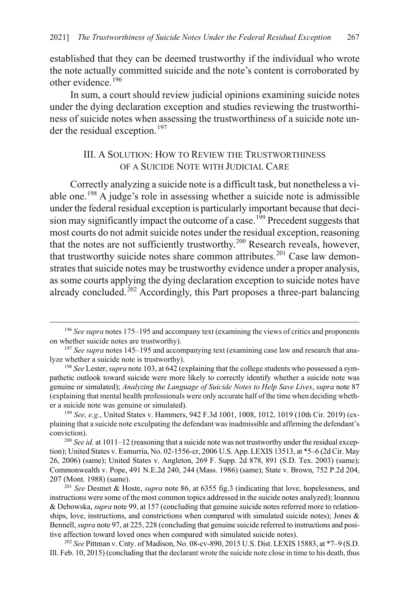established that they can be deemed trustworthy if the individual who wrote the note actually committed suicide and the note's content is corroborated by other evidence.<sup>[196](#page-33-2)</sup>

In sum, a court should review judicial opinions examining suicide notes under the dying declaration exception and studies reviewing the trustworthiness of suicide notes when assessing the trustworthiness of a suicide note un-der the residual exception.<sup>[197](#page-33-3)</sup>

## <span id="page-33-1"></span>III. A SOLUTION: HOW TO REVIEW THE TRUSTWORTHINESS OF A SUICIDE NOTE WITH JUDICIAL CARE

<span id="page-33-0"></span>Correctly analyzing a suicide note is a difficult task, but nonetheless a vi-able one.<sup>[198](#page-33-4)</sup> A judge's role in assessing whether a suicide note is admissible under the federal residual exception is particularly important because that deci-sion may significantly impact the outcome of a case.<sup>[199](#page-33-5)</sup> Precedent suggests that most courts do not admit suicide notes under the residual exception, reasoning that the notes are not sufficiently trustworthy.<sup>[200](#page-33-6)</sup> Research reveals, however, that trustworthy suicide notes share common attributes.<sup>[201](#page-33-7)</sup> Case law demonstrates that suicide notes may be trustworthy evidence under a proper analysis, as some courts applying the dying declaration exception to suicide notes have already concluded.<sup>[202](#page-33-8)</sup> Accordingly, this Part proposes a three-part balancing

<span id="page-33-2"></span><sup>&</sup>lt;sup>196</sup> See supra note[s 175](#page-30-0)[–195](#page-32-1) and accompany text (examining the views of critics and proponents on whether suicide notes are trustworthy).

<span id="page-33-3"></span><sup>&</sup>lt;sup>197</sup> See supra note[s 145](#page-25-0)[–195](#page-32-1) and accompanying text (examining case law and research that analyze whether a suicide note is trustworthy).

<span id="page-33-4"></span><sup>198</sup> *See* Lester, *supra* not[e 103,](#page-18-0) at 642 (explaining that the college students who possessed a sympathetic outlook toward suicide were more likely to correctly identify whether a suicide note was genuine or simulated); *Analyzing the Language of Suicide Notes to Help Save Lives*, *supra* note [87](#page-16-9) (explaining that mental health professionals were only accurate half of the time when deciding whether a suicide note was genuine or simulated).

<span id="page-33-5"></span><sup>199</sup> *See, e.g.*, United States v. Hammers, 942 F.3d 1001, 1008, 1012, 1019 (10th Cir. 2019) (explaining that a suicide note exculpating the defendant was inadmissible and affirming the defendant's conviction). 200 *See id.* at 1011–12 (reasoning that a suicide note was not trustworthy under the residual excep-

<span id="page-33-6"></span>tion); United States v. Esmurria, No. 02-1556-cr, 2006 U.S. App. LEXIS 13513, at \*5–6 (2d Cir. May 26, 2006) (same); United States v. Angleton, 269 F. Supp. 2d 878, 891 (S.D. Tex. 2003) (same); Commonwealth v. Pope, 491 N.E.2d 240, 244 (Mass. 1986) (same); State v. Brown, 752 P.2d 204, 207 (Mont. 1988) (same).

<span id="page-33-7"></span><sup>201</sup> *See* Desmet & Hoste, *supra* note [86,](#page-16-0) at 6355 fig.3 (indicating that love, hopelessness, and instructions were some of the most common topics addressed in the suicide notes analyzed); Ioannou & Debowska, *supra* not[e 99,](#page-17-2) at 157 (concluding that genuine suicide notes referred more to relationships, love, instructions, and constrictions when compared with simulated suicide notes); Jones & Bennell, *supra* not[e 97,](#page-17-1) at 225, 228 (concluding that genuine suicide referred to instructions and positive affection toward loved ones when compared with simulated suicide notes).

<span id="page-33-8"></span><sup>202</sup> *See* Pittman v. Cnty. of Madison, No. 08-cv-890, 2015 U.S. Dist. LEXIS 15883, at \*7–9 (S.D. Ill. Feb. 10, 2015) (concluding that the declarant wrote the suicide note close in time to his death, thus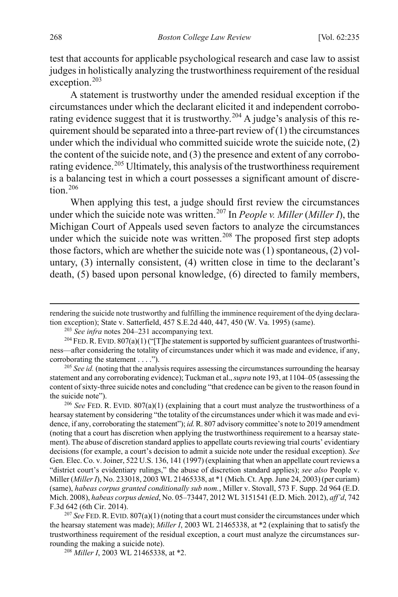test that accounts for applicable psychological research and case law to assist judges in holistically analyzing the trustworthiness requirement of the residual exception.<sup>[203](#page-34-1)</sup>

<span id="page-34-0"></span>A statement is trustworthy under the amended residual exception if the circumstances under which the declarant elicited it and independent corrobo-rating evidence suggest that it is trustworthy.<sup>[204](#page-34-2)</sup> A judge's analysis of this requirement should be separated into a three-part review of  $(1)$  the circumstances under which the individual who committed suicide wrote the suicide note, (2) the content of the suicide note, and (3) the presence and extent of any corrobo-rating evidence.<sup>[205](#page-34-3)</sup> Ultimately, this analysis of the trustworthiness requirement is a balancing test in which a court possesses a significant amount of discre $tion$ <sup>[206](#page-34-4)</sup>

<span id="page-34-7"></span>When applying this test, a judge should first review the circumstances under which the suicide note was written.[207](#page-34-5) In *People v. Miller* (*Miller I*), the Michigan Court of Appeals used seven factors to analyze the circumstances under which the suicide note was written.<sup>[208](#page-34-6)</sup> The proposed first step adopts those factors, which are whether the suicide note was  $(1)$  spontaneous,  $(2)$  voluntary, (3) internally consistent, (4) written close in time to the declarant's death, (5) based upon personal knowledge, (6) directed to family members,

<span id="page-34-4"></span><sup>206</sup> *See* FED. R. EVID. 807(a)(1) (explaining that a court must analyze the trustworthiness of a hearsay statement by considering "the totality of the circumstances under which it was made and evidence, if any, corroborating the statement"); *id.*R. 807 advisory committee's note to 2019 amendment (noting that a court has discretion when applying the trustworthiness requirement to a hearsay statement). The abuse of discretion standard applies to appellate courts reviewing trial courts' evidentiary decisions (for example, a court's decision to admit a suicide note under the residual exception). *See*  Gen. Elec. Co. v. Joiner, 522 U.S. 136, 141 (1997) (explaining that when an appellate court reviews a "district court's evidentiary rulings," the abuse of discretion standard applies); *see also* People v. Miller (*Miller I*), No. 233018, 2003 WL 21465338, at \*1 (Mich. Ct. App. June 24, 2003) (per curiam) (same), *habeas corpus granted conditionally sub nom.*, Miller v. Stovall, 573 F. Supp. 2d 964 (E.D. Mich. 2008), *habeas corpus denied*, No. 05–73447, 2012 WL 3151541 (E.D. Mich. 2012), *aff'd*, 742 F.3d 642 (6th Cir. 2014).

<span id="page-34-6"></span><span id="page-34-5"></span><sup>207</sup> *See* FED.R. EVID. 807(a)(1) (noting that a court must consider the circumstances under which the hearsay statement was made); *Miller I*, 2003 WL 21465338, at \*2 (explaining that to satisfy the trustworthiness requirement of the residual exception, a court must analyze the circumstances surrounding the making a suicide note).

<sup>208</sup> *Miller I*, 2003 WL 21465338, at \*2.

 $\overline{a}$ 

rendering the suicide note trustworthy and fulfilling the imminence requirement of the dying declaration exception); State v. Satterfield, 457 S.E.2d 440, 447, 450 (W. Va. 1995) (same).

<span id="page-34-2"></span><span id="page-34-1"></span><sup>&</sup>lt;sup>203</sup> *See infra* notes [204–](#page-34-0)[231 a](#page-38-0)ccompanying text.<br><sup>204</sup> FED. R. EVID. 807(a)(1) ("[T]he statement is supported by sufficient guarantees of trustworthiness—after considering the totality of circumstances under which it was made and evidence, if any, corroborating the statement . . . .").

<span id="page-34-3"></span><sup>&</sup>lt;sup>205</sup> See id. (noting that the analysis requires assessing the circumstances surrounding the hearsay statement and any corroborating evidence); Tuckman et al., *supra* not[e 193,](#page-32-0) at 1104–05 (assessing the content of sixty-three suicide notes and concluding "that credence can be given to the reason found in the suicide note").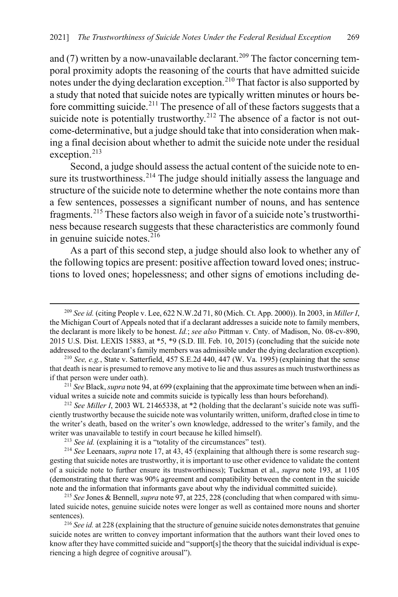and (7) written by a now-unavailable declarant.<sup>[209](#page-35-0)</sup> The factor concerning temporal proximity adopts the reasoning of the courts that have admitted suicide notes under the dying declaration exception.[210](#page-35-1) That factor is also supported by a study that noted that suicide notes are typically written minutes or hours be-fore committing suicide.<sup>[211](#page-35-2)</sup> The presence of all of these factors suggests that a suicide note is potentially trustworthy.<sup>[212](#page-35-3)</sup> The absence of a factor is not outcome-determinative, but a judge should take that into consideration when making a final decision about whether to admit the suicide note under the residual exception.<sup>[213](#page-35-4)</sup>

Second, a judge should assess the actual content of the suicide note to en-sure its trustworthiness.<sup>[214](#page-35-5)</sup> The judge should initially assess the language and structure of the suicide note to determine whether the note contains more than a few sentences, possesses a significant number of nouns, and has sentence fragments.[215](#page-35-6) These factors also weigh in favor of a suicide note's trustworthiness because research suggests that these characteristics are commonly found in genuine suicide notes. $216$ 

As a part of this second step, a judge should also look to whether any of the following topics are present: positive affection toward loved ones; instructions to loved ones; hopelessness; and other signs of emotions including de-

<span id="page-35-0"></span> <sup>209</sup> *See id.* (citing People v. Lee, 622 N.W.2d 71, 80 (Mich. Ct. App. 2000)). In 2003, in *Miller I*, the Michigan Court of Appeals noted that if a declarant addresses a suicide note to family members, the declarant is more likely to be honest. *Id.*; *see also* Pittman v. Cnty. of Madison, No. 08-cv-890, 2015 U.S. Dist. LEXIS 15883, at \*5, \*9 (S.D. Ill. Feb. 10, 2015) (concluding that the suicide note addressed to the declarant's family members was admissible under the dying declaration exception).

<span id="page-35-1"></span><sup>210</sup> *See, e.g.*, State v. Satterfield, 457 S.E.2d 440, 447 (W. Va. 1995) (explaining that the sense that death is near is presumed to remove any motive to lie and thus assures as much trustworthiness as if that person were under oath).

<span id="page-35-2"></span><sup>211</sup> *See* Black, *supra* not[e 94,](#page-17-10) at 699 (explaining that the approximate time between when an individual writes a suicide note and commits suicide is typically less than hours beforehand).

<span id="page-35-3"></span><sup>212</sup> *See Miller I*, 2003 WL 21465338, at \*2 (holding that the declarant's suicide note was sufficiently trustworthy because the suicide note was voluntarily written, uniform, drafted close in time to the writer's death, based on the writer's own knowledge, addressed to the writer's family, and the writer was unavailable to testify in court because he killed himself).

<sup>&</sup>lt;sup>213</sup> *See id.* (explaining it is a "totality of the circumstances" test).

<span id="page-35-5"></span><span id="page-35-4"></span><sup>214</sup> *See* Leenaars, *supra* not[e 17,](#page-4-4) at 43, 45 (explaining that although there is some research suggesting that suicide notes are trustworthy, it is important to use other evidence to validate the content of a suicide note to further ensure its trustworthiness); Tuckman et al., *supra* note [193,](#page-32-0) at 1105 (demonstrating that there was 90% agreement and compatibility between the content in the suicide note and the information that informants gave about why the individual committed suicide).

<span id="page-35-6"></span><sup>215</sup> *See* Jones & Bennell, *supra* not[e 97,](#page-17-1) at 225, 228 (concluding that when compared with simulated suicide notes, genuine suicide notes were longer as well as contained more nouns and shorter sentences). 216 *See id.* at 228 (explaining that the structure of genuine suicide notes demonstrates that genuine

<span id="page-35-7"></span>suicide notes are written to convey important information that the authors want their loved ones to know after they have committed suicide and "support[s] the theory that the suicidal individual is experiencing a high degree of cognitive arousal").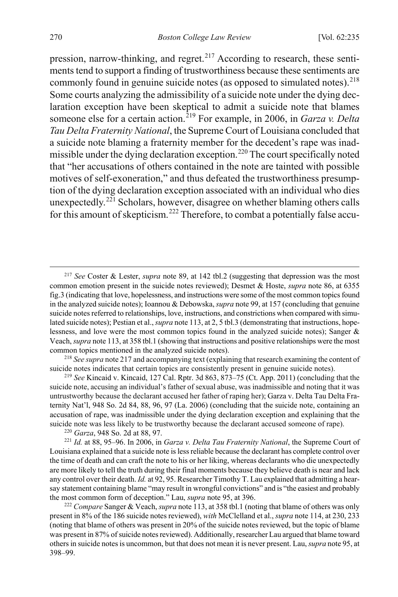<span id="page-36-0"></span>pression, narrow-thinking, and regret.<sup>[217](#page-36-1)</sup> According to research, these sentiments tend to support a finding of trustworthiness because these sentiments are commonly found in genuine suicide notes (as opposed to simulated notes).<sup>[218](#page-36-2)</sup> Some courts analyzing the admissibility of a suicide note under the dying declaration exception have been skeptical to admit a suicide note that blames someone else for a certain action.[219](#page-36-3) For example, in 2006, in *Garza v. Delta Tau Delta Fraternity National*, the Supreme Court of Louisiana concluded that a suicide note blaming a fraternity member for the decedent's rape was inad-missible under the dying declaration exception.<sup>[220](#page-36-4)</sup> The court specifically noted that "her accusations of others contained in the note are tainted with possible motives of self-exoneration," and thus defeated the trustworthiness presumption of the dying declaration exception associated with an individual who dies unexpectedly.[221](#page-36-5) Scholars, however, disagree on whether blaming others calls for this amount of skepticism.<sup>[222](#page-36-6)</sup> Therefore, to combat a potentially false accu-

<span id="page-36-3"></span><sup>219</sup> *See* Kincaid v. Kincaid, 127 Cal. Rptr. 3d 863, 873–75 (Ct. App. 2011) (concluding that the suicide note, accusing an individual's father of sexual abuse, was inadmissible and noting that it was untrustworthy because the declarant accused her father of raping her); Garza v. Delta Tau Delta Fraternity Nat'l, 948 So. 2d 84, 88, 96, 97 (La. 2006) (concluding that the suicide note, containing an accusation of rape, was inadmissible under the dying declaration exception and explaining that the suicide note was less likely to be trustworthy because the declarant accused someone of rape).

<sup>220</sup> *Garza*, 948 So. 2d at 88, 97.

<span id="page-36-5"></span><span id="page-36-4"></span><sup>221</sup> *Id.* at 88, 95–96. In 2006, in *Garza v. Delta Tau Fraternity National*, the Supreme Court of Louisiana explained that a suicide note is less reliable because the declarant has complete control over the time of death and can craft the note to his or her liking, whereas declarants who die unexpectedly are more likely to tell the truth during their final moments because they believe death is near and lack any control over their death. *Id.* at 92, 95. Researcher Timothy T. Lau explained that admitting a hearsay statement containing blame "may result in wrongful convictions" and is "the easiest and probably the most common form of deception." Lau, *supra* not[e 95,](#page-17-11) at 396.

<span id="page-36-6"></span><sup>222</sup> *Compare* Sanger & Veach, *supra* not[e 113,](#page-20-0) at 358 tbl.1 (noting that blame of others was only present in 8% of the 186 suicide notes reviewed), *with* McClelland et al., *supra* not[e 114,](#page-20-1) at 230, 233 (noting that blame of others was present in 20% of the suicide notes reviewed, but the topic of blame was present in 87% of suicide notes reviewed). Additionally, researcher Lau argued that blame toward others in suicide notes is uncommon, but that does not mean it is never present. Lau, *supra* not[e 95,](#page-17-11) at 398–99.

<span id="page-36-1"></span> <sup>217</sup> *See* Coster & Lester, *supra* note [89,](#page-16-8) at 142 tbl.2 (suggesting that depression was the most common emotion present in the suicide notes reviewed); Desmet & Hoste, *supra* not[e 86,](#page-16-0) at 6355 fig.3 (indicating that love, hopelessness, and instructions were some of the most common topics found in the analyzed suicide notes); Ioannou & Debowska, *supra* not[e 99,](#page-17-2) at 157 (concluding that genuine suicide notes referred to relationships, love, instructions, and constrictions when compared with simulated suicide notes); Pestian et al., *supra* not[e 113,](#page-20-0) at 2, 5 tbl.3 (demonstrating that instructions, hopelessness, and love were the most common topics found in the analyzed suicide notes); Sanger & Veach, *supra* not[e 113,](#page-20-0) at 358 tbl.1 (showing that instructions and positive relationships were the most common topics mentioned in the analyzed suicide notes).

<span id="page-36-2"></span><sup>218</sup> *See supra* not[e 217](#page-36-0) and accompanying text (explaining that research examining the content of suicide notes indicates that certain topics are consistently present in genuine suicide notes).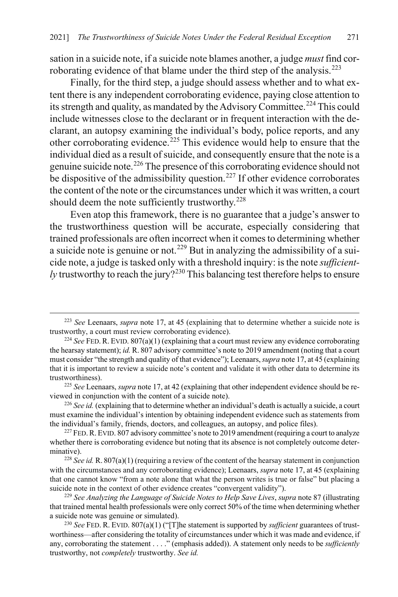sation in a suicide note, if a suicide note blames another, a judge *must* find cor-roborating evidence of that blame under the third step of the analysis.<sup>[223](#page-37-0)</sup>

Finally, for the third step, a judge should assess whether and to what extent there is any independent corroborating evidence, paying close attention to its strength and quality, as mandated by the Advisory Committee.<sup>[224](#page-37-1)</sup> This could include witnesses close to the declarant or in frequent interaction with the declarant, an autopsy examining the individual's body, police reports, and any other corroborating evidence.[225](#page-37-2) This evidence would help to ensure that the individual died as a result of suicide, and consequently ensure that the note is a genuine suicide note.[226](#page-37-3) The presence of this corroborating evidence should not be dispositive of the admissibility question.<sup>[227](#page-37-4)</sup> If other evidence corroborates the content of the note or the circumstances under which it was written, a court should deem the note sufficiently trustworthy.<sup>[228](#page-37-5)</sup>

<span id="page-37-8"></span>Even atop this framework, there is no guarantee that a judge's answer to the trustworthiness question will be accurate, especially considering that trained professionals are often incorrect when it comes to determining whether a suicide note is genuine or not.<sup>[229](#page-37-6)</sup> But in analyzing the admissibility of a suicide note, a judge is tasked only with a threshold inquiry: is the note *sufficiently* trustworthy to reach the jury?<sup>[230](#page-37-7)</sup> This balancing test therefore helps to ensure

<span id="page-37-9"></span><span id="page-37-0"></span> <sup>223</sup> *See* Leenaars, *supra* note [17,](#page-4-4) at 45 (explaining that to determine whether a suicide note is trustworthy, a court must review corroborating evidence).

<span id="page-37-1"></span><sup>&</sup>lt;sup>224</sup> See FED. R. EVID.  $807(a)(1)$  (explaining that a court must review any evidence corroborating the hearsay statement); *id.* R. 807 advisory committee's note to 2019 amendment (noting that a court must consider "the strength and quality of that evidence"); Leenaars, *supra* not[e 17,](#page-4-4) at 45 (explaining that it is important to review a suicide note's content and validate it with other data to determine its trustworthiness).

<span id="page-37-2"></span><sup>225</sup> *See* Leenaars, *supra* not[e 17,](#page-4-4) at 42 (explaining that other independent evidence should be reviewed in conjunction with the content of a suicide note).

<span id="page-37-3"></span><sup>226</sup> *See id.* (explaining that to determine whether an individual's death is actually a suicide, a court must examine the individual's intention by obtaining independent evidence such as statements from the individual's family, friends, doctors, and colleagues, an autopsy, and police files).

<span id="page-37-4"></span> $227$  FED. R. EVID. 807 advisory committee's note to 2019 amendment (requiring a court to analyze whether there is corroborating evidence but noting that its absence is not completely outcome determinative).

<span id="page-37-5"></span><sup>228</sup> *See id.* R. 807(a)(1) (requiring a review of the content of the hearsay statement in conjunction with the circumstances and any corroborating evidence); Leenaars, *supra* not[e 17,](#page-4-4) at 45 (explaining that one cannot know "from a note alone that what the person writes is true or false" but placing a suicide note in the context of other evidence creates "convergent validity").

<span id="page-37-6"></span><sup>229</sup> *See Analyzing the Language of Suicide Notes to Help Save Lives*, *supra* not[e 87](#page-16-9) (illustrating that trained mental health professionals were only correct 50% of the time when determining whether a suicide note was genuine or simulated).

<span id="page-37-7"></span><sup>230</sup> *See* FED. R. EVID. 807(a)(1) ("[T]he statement is supported by *sufficient* guarantees of trustworthiness—after considering the totality of circumstances under which it was made and evidence, if any, corroborating the statement . . . ." (emphasis added)). A statement only needs to be *sufficiently*  trustworthy, not *completely* trustworthy. *See id.*